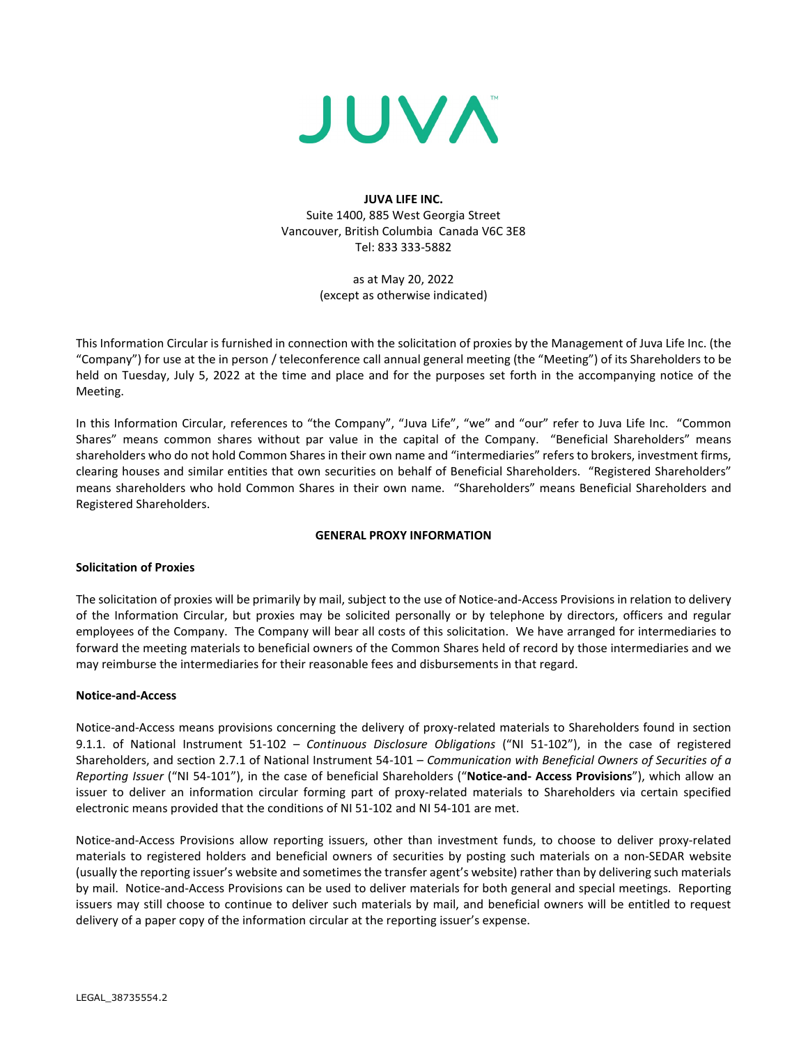

**JUVA LIFE INC.**  Suite 1400, 885 West Georgia Street Vancouver, British Columbia Canada V6C 3E8 Tel: 833 333-5882

> as at May 20, 2022 (except as otherwise indicated)

This Information Circular is furnished in connection with the solicitation of proxies by the Management of Juva Life Inc. (the "Company") for use at the in person / teleconference call annual general meeting (the "Meeting") of its Shareholders to be held on Tuesday, July 5, 2022 at the time and place and for the purposes set forth in the accompanying notice of the Meeting.

In this Information Circular, references to "the Company", "Juva Life", "we" and "our" refer to Juva Life Inc. "Common Shares" means common shares without par value in the capital of the Company. "Beneficial Shareholders" means shareholders who do not hold Common Shares in their own name and "intermediaries" refers to brokers, investment firms, clearing houses and similar entities that own securities on behalf of Beneficial Shareholders. "Registered Shareholders" means shareholders who hold Common Shares in their own name. "Shareholders" means Beneficial Shareholders and Registered Shareholders.

# **GENERAL PROXY INFORMATION**

# **Solicitation of Proxies**

The solicitation of proxies will be primarily by mail, subject to the use of Notice-and-Access Provisions in relation to delivery of the Information Circular, but proxies may be solicited personally or by telephone by directors, officers and regular employees of the Company. The Company will bear all costs of this solicitation. We have arranged for intermediaries to forward the meeting materials to beneficial owners of the Common Shares held of record by those intermediaries and we may reimburse the intermediaries for their reasonable fees and disbursements in that regard.

# **Notice-and-Access**

Notice-and-Access means provisions concerning the delivery of proxy-related materials to Shareholders found in section 9.1.1. of National Instrument 51-102 – *Continuous Disclosure Obligations* ("NI 51-102"), in the case of registered Shareholders, and section 2.7.1 of National Instrument 54-101 – *Communication with Beneficial Owners of Securities of a Reporting Issuer* ("NI 54-101"), in the case of beneficial Shareholders ("**Notice-and- Access Provisions**"), which allow an issuer to deliver an information circular forming part of proxy-related materials to Shareholders via certain specified electronic means provided that the conditions of NI 51-102 and NI 54-101 are met.

Notice-and-Access Provisions allow reporting issuers, other than investment funds, to choose to deliver proxy-related materials to registered holders and beneficial owners of securities by posting such materials on a non-SEDAR website (usually the reporting issuer's website and sometimes the transfer agent's website) rather than by delivering such materials by mail. Notice-and-Access Provisions can be used to deliver materials for both general and special meetings. Reporting issuers may still choose to continue to deliver such materials by mail, and beneficial owners will be entitled to request delivery of a paper copy of the information circular at the reporting issuer's expense.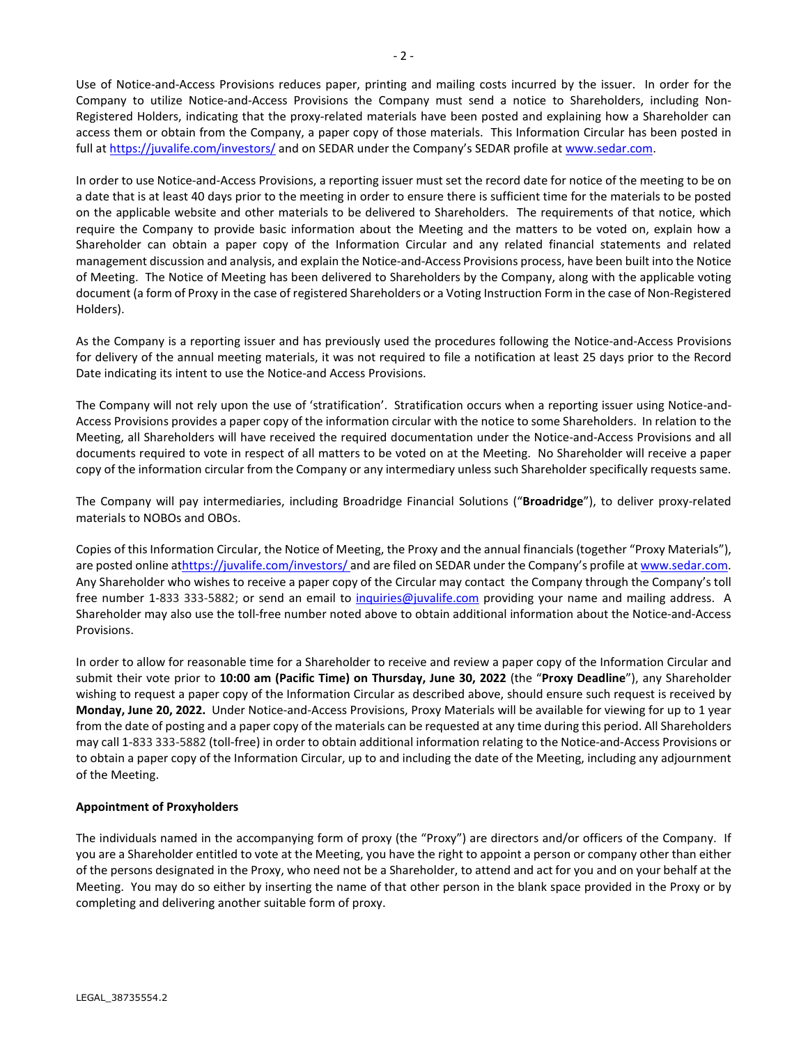Use of Notice-and-Access Provisions reduces paper, printing and mailing costs incurred by the issuer. In order for the Company to utilize Notice-and-Access Provisions the Company must send a notice to Shareholders, including Non-Registered Holders, indicating that the proxy-related materials have been posted and explaining how a Shareholder can access them or obtain from the Company, a paper copy of those materials. This Information Circular has been posted in full at<https://juvalife.com/investors/> and on SEDAR under the Company's SEDAR profile a[t www.sedar.com.](http://www.sedar.com/)

In order to use Notice-and-Access Provisions, a reporting issuer must set the record date for notice of the meeting to be on a date that is at least 40 days prior to the meeting in order to ensure there is sufficient time for the materials to be posted on the applicable website and other materials to be delivered to Shareholders. The requirements of that notice, which require the Company to provide basic information about the Meeting and the matters to be voted on, explain how a Shareholder can obtain a paper copy of the Information Circular and any related financial statements and related management discussion and analysis, and explain the Notice-and-Access Provisions process, have been built into the Notice of Meeting. The Notice of Meeting has been delivered to Shareholders by the Company, along with the applicable voting document (a form of Proxy in the case of registered Shareholders or a Voting Instruction Form in the case of Non-Registered Holders).

As the Company is a reporting issuer and has previously used the procedures following the Notice-and-Access Provisions for delivery of the annual meeting materials, it was not required to file a notification at least 25 days prior to the Record Date indicating its intent to use the Notice-and Access Provisions.

The Company will not rely upon the use of 'stratification'. Stratification occurs when a reporting issuer using Notice-and-Access Provisions provides a paper copy of the information circular with the notice to some Shareholders. In relation to the Meeting, all Shareholders will have received the required documentation under the Notice-and-Access Provisions and all documents required to vote in respect of all matters to be voted on at the Meeting. No Shareholder will receive a paper copy of the information circular from the Company or any intermediary unless such Shareholder specifically requests same.

The Company will pay intermediaries, including Broadridge Financial Solutions ("**Broadridge**"), to deliver proxy-related materials to NOBOs and OBOs.

Copies of this Information Circular, the Notice of Meeting, the Proxy and the annual financials (together "Proxy Materials"), are posted online a[thttps://juvalife.com/investors/](https://juvalife.com/investors/) and are filed on SEDAR under the Company's profile a[t www.sedar.com.](http://www.sedar.com/) Any Shareholder who wishes to receive a paper copy of the Circular may contact the Company through the Company's toll free number 1-833 333-5882; or send an email to [inquiries@juvalife.com](mailto:inquiries@juvalife.com) providing your name and mailing address. A Shareholder may also use the toll-free number noted above to obtain additional information about the Notice-and-Access Provisions.

In order to allow for reasonable time for a Shareholder to receive and review a paper copy of the Information Circular and submit their vote prior to **10:00 am (Pacific Time) on Thursday, June 30, 2022** (the "**Proxy Deadline**"), any Shareholder wishing to request a paper copy of the Information Circular as described above, should ensure such request is received by **Monday, June 20, 2022.** Under Notice-and-Access Provisions, Proxy Materials will be available for viewing for up to 1 year from the date of posting and a paper copy of the materials can be requested at any time during this period. All Shareholders may call 1-833 333-5882 (toll-free) in order to obtain additional information relating to the Notice-and-Access Provisions or to obtain a paper copy of the Information Circular, up to and including the date of the Meeting, including any adjournment of the Meeting.

# **Appointment of Proxyholders**

The individuals named in the accompanying form of proxy (the "Proxy") are directors and/or officers of the Company. If you are a Shareholder entitled to vote at the Meeting, you have the right to appoint a person or company other than either of the persons designated in the Proxy, who need not be a Shareholder, to attend and act for you and on your behalf at the Meeting. You may do so either by inserting the name of that other person in the blank space provided in the Proxy or by completing and delivering another suitable form of proxy.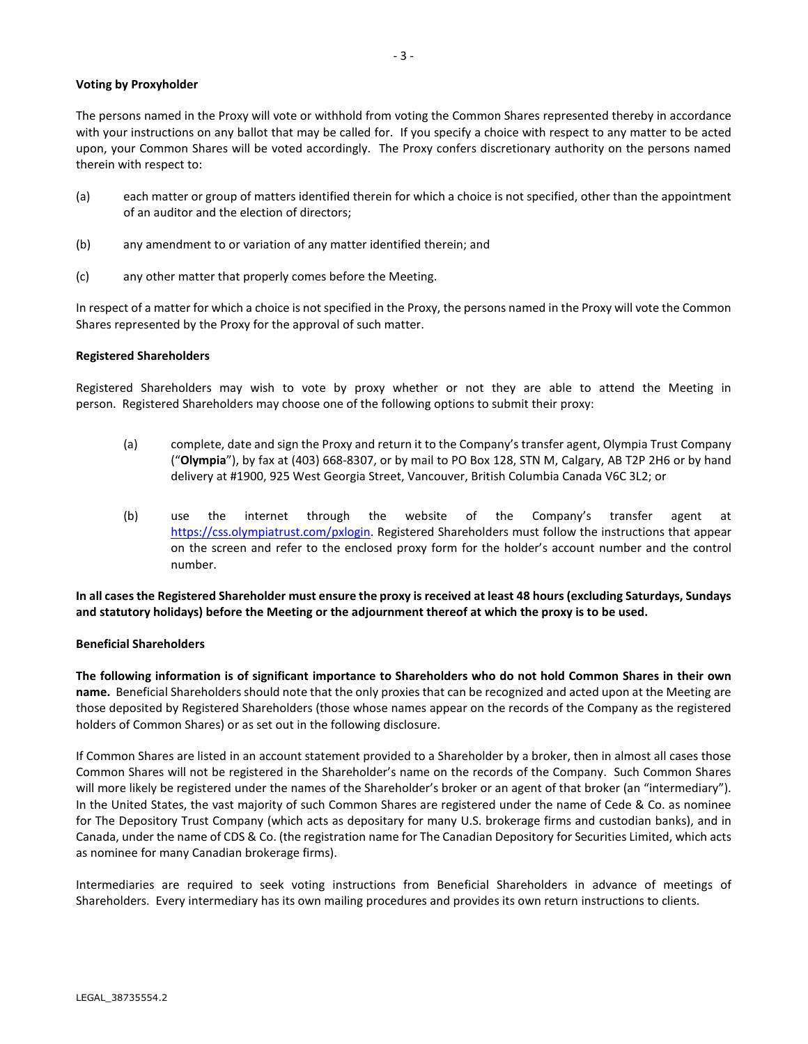# **Voting by Proxyholder**

The persons named in the Proxy will vote or withhold from voting the Common Shares represented thereby in accordance with your instructions on any ballot that may be called for. If you specify a choice with respect to any matter to be acted upon, your Common Shares will be voted accordingly. The Proxy confers discretionary authority on the persons named therein with respect to:

- (a) each matter or group of matters identified therein for which a choice is not specified, other than the appointment of an auditor and the election of directors;
- (b) any amendment to or variation of any matter identified therein; and
- (c) any other matter that properly comes before the Meeting.

In respect of a matter for which a choice is not specified in the Proxy, the persons named in the Proxy will vote the Common Shares represented by the Proxy for the approval of such matter.

# **Registered Shareholders**

Registered Shareholders may wish to vote by proxy whether or not they are able to attend the Meeting in person. Registered Shareholders may choose one of the following options to submit their proxy:

- (a) complete, date and sign the Proxy and return it to the Company's transfer agent, Olympia Trust Company ("**Olympia**"), by fax at (403) 668-8307, or by mail to PO Box 128, STN M, Calgary, AB T2P 2H6 or by hand delivery at #1900, 925 West Georgia Street, Vancouver, British Columbia Canada V6C 3L2; or
- (b) use the internet through the website of the Company's transfer agent at [https://css.olympiatrust.com/pxlogin.](https://css.olympiatrust.com/pxlogin) Registered Shareholders must follow the instructions that appear on the screen and refer to the enclosed proxy form for the holder's account number and the control number.

**In all cases the Registered Shareholder must ensure the proxy is received at least 48 hours (excluding Saturdays, Sundays and statutory holidays) before the Meeting or the adjournment thereof at which the proxy is to be used.**

# **Beneficial Shareholders**

**The following information is of significant importance to Shareholders who do not hold Common Shares in their own name.** Beneficial Shareholders should note that the only proxies that can be recognized and acted upon at the Meeting are those deposited by Registered Shareholders (those whose names appear on the records of the Company as the registered holders of Common Shares) or as set out in the following disclosure.

If Common Shares are listed in an account statement provided to a Shareholder by a broker, then in almost all cases those Common Shares will not be registered in the Shareholder's name on the records of the Company. Such Common Shares will more likely be registered under the names of the Shareholder's broker or an agent of that broker (an "intermediary"). In the United States, the vast majority of such Common Shares are registered under the name of Cede & Co. as nominee for The Depository Trust Company (which acts as depositary for many U.S. brokerage firms and custodian banks), and in Canada, under the name of CDS & Co. (the registration name for The Canadian Depository for Securities Limited, which acts as nominee for many Canadian brokerage firms).

Intermediaries are required to seek voting instructions from Beneficial Shareholders in advance of meetings of Shareholders. Every intermediary has its own mailing procedures and provides its own return instructions to clients.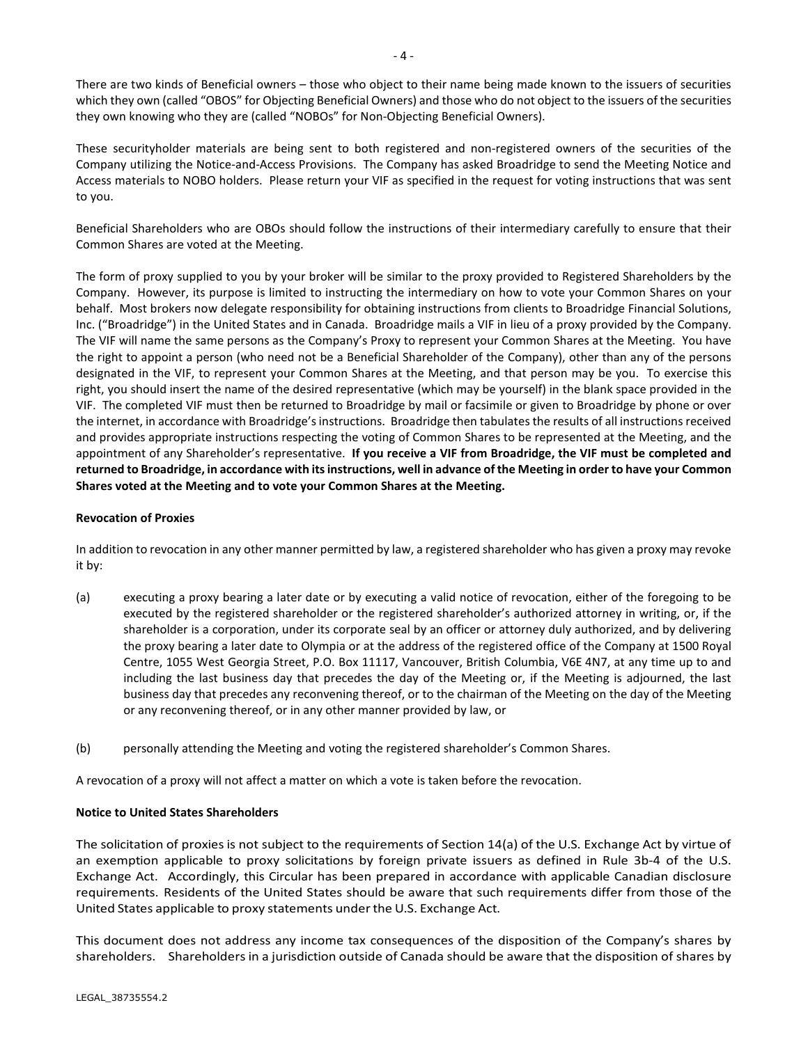There are two kinds of Beneficial owners – those who object to their name being made known to the issuers of securities which they own (called "OBOS" for Objecting Beneficial Owners) and those who do not object to the issuers of the securities they own knowing who they are (called "NOBOs" for Non-Objecting Beneficial Owners).

These securityholder materials are being sent to both registered and non-registered owners of the securities of the Company utilizing the Notice-and-Access Provisions. The Company has asked Broadridge to send the Meeting Notice and Access materials to NOBO holders. Please return your VIF as specified in the request for voting instructions that was sent to you.

Beneficial Shareholders who are OBOs should follow the instructions of their intermediary carefully to ensure that their Common Shares are voted at the Meeting.

The form of proxy supplied to you by your broker will be similar to the proxy provided to Registered Shareholders by the Company. However, its purpose is limited to instructing the intermediary on how to vote your Common Shares on your behalf. Most brokers now delegate responsibility for obtaining instructions from clients to Broadridge Financial Solutions, Inc. ("Broadridge") in the United States and in Canada. Broadridge mails a VIF in lieu of a proxy provided by the Company. The VIF will name the same persons as the Company's Proxy to represent your Common Shares at the Meeting. You have the right to appoint a person (who need not be a Beneficial Shareholder of the Company), other than any of the persons designated in the VIF, to represent your Common Shares at the Meeting, and that person may be you. To exercise this right, you should insert the name of the desired representative (which may be yourself) in the blank space provided in the VIF. The completed VIF must then be returned to Broadridge by mail or facsimile or given to Broadridge by phone or over the internet, in accordance with Broadridge's instructions. Broadridge then tabulates the results of all instructions received and provides appropriate instructions respecting the voting of Common Shares to be represented at the Meeting, and the appointment of any Shareholder's representative. **If you receive a VIF from Broadridge, the VIF must be completed and returned to Broadridge, in accordance with its instructions, well in advance of the Meeting in order to have your Common Shares voted at the Meeting and to vote your Common Shares at the Meeting.**

# **Revocation of Proxies**

In addition to revocation in any other manner permitted by law, a registered shareholder who has given a proxy may revoke it by:

- (a) executing a proxy bearing a later date or by executing a valid notice of revocation, either of the foregoing to be executed by the registered shareholder or the registered shareholder's authorized attorney in writing, or, if the shareholder is a corporation, under its corporate seal by an officer or attorney duly authorized, and by delivering the proxy bearing a later date to Olympia or at the address of the registered office of the Company at 1500 Royal Centre, 1055 West Georgia Street, P.O. Box 11117, Vancouver, British Columbia, V6E 4N7, at any time up to and including the last business day that precedes the day of the Meeting or, if the Meeting is adjourned, the last business day that precedes any reconvening thereof, or to the chairman of the Meeting on the day of the Meeting or any reconvening thereof, or in any other manner provided by law, or
- (b) personally attending the Meeting and voting the registered shareholder's Common Shares.

A revocation of a proxy will not affect a matter on which a vote is taken before the revocation.

# **Notice to United States Shareholders**

The solicitation of proxiesis not subject to the requirements of Section 14(a) of the U.S. Exchange Act by virtue of an exemption applicable to proxy solicitations by foreign private issuers as defined in Rule 3b-4 of the U.S. Exchange Act. Accordingly, this Circular has been prepared in accordance with applicable Canadian disclosure requirements. Residents of the United States should be aware that such requirements differ from those of the United States applicable to proxy statements under the U.S. Exchange Act.

This document does not address any income tax consequences of the disposition of the Company's shares by shareholders. Shareholdersin a jurisdiction outside of Canada should be aware that the disposition of shares by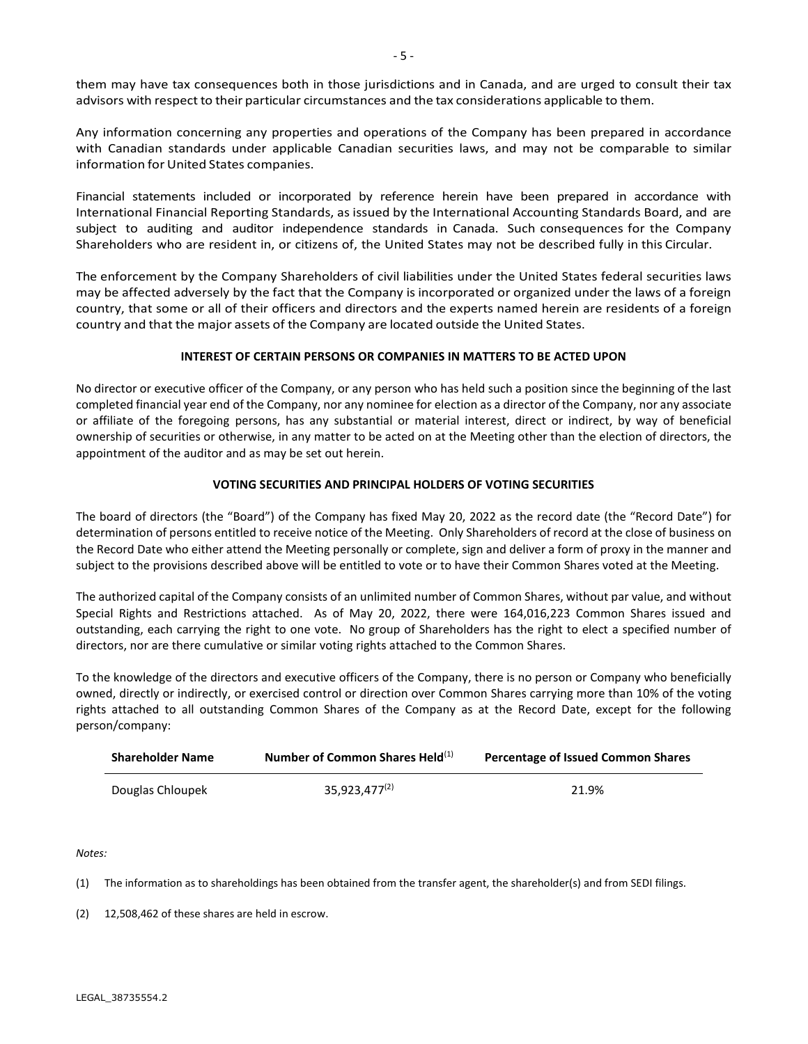Any information concerning any properties and operations of the Company has been prepared in accordance with Canadian standards under applicable Canadian securities laws, and may not be comparable to similar information for United States companies.

Financial statements included or incorporated by reference herein have been prepared in accordance with International Financial Reporting Standards, as issued by the International Accounting Standards Board, and are subject to auditing and auditor independence standards in Canada. Such consequences for the Company Shareholders who are resident in, or citizens of, the United States may not be described fully in this Circular.

The enforcement by the Company Shareholders of civil liabilities under the United States federal securities laws may be affected adversely by the fact that the Company is incorporated or organized under the laws of a foreign country, that some or all of their officers and directors and the experts named herein are residents of a foreign country and that the major assets of the Company are located outside the United States.

# **INTEREST OF CERTAIN PERSONS OR COMPANIES IN MATTERS TO BE ACTED UPON**

No director or executive officer of the Company, or any person who has held such a position since the beginning of the last completed financial year end of the Company, nor any nominee for election as a director of the Company, nor any associate or affiliate of the foregoing persons, has any substantial or material interest, direct or indirect, by way of beneficial ownership of securities or otherwise, in any matter to be acted on at the Meeting other than the election of directors, the appointment of the auditor and as may be set out herein.

# **VOTING SECURITIES AND PRINCIPAL HOLDERS OF VOTING SECURITIES**

The board of directors (the "Board") of the Company has fixed May 20, 2022 as the record date (the "Record Date") for determination of persons entitled to receive notice of the Meeting. Only Shareholders of record at the close of business on the Record Date who either attend the Meeting personally or complete, sign and deliver a form of proxy in the manner and subject to the provisions described above will be entitled to vote or to have their Common Shares voted at the Meeting.

The authorized capital of the Company consists of an unlimited number of Common Shares, without par value, and without Special Rights and Restrictions attached. As of May 20, 2022, there were 164,016,223 Common Shares issued and outstanding, each carrying the right to one vote. No group of Shareholders has the right to elect a specified number of directors, nor are there cumulative or similar voting rights attached to the Common Shares.

To the knowledge of the directors and executive officers of the Company, there is no person or Company who beneficially owned, directly or indirectly, or exercised control or direction over Common Shares carrying more than 10% of the voting rights attached to all outstanding Common Shares of the Company as at the Record Date, except for the following person/company:

| <b>Shareholder Name</b> | Number of Common Shares Held(1) | <b>Percentage of Issued Common Shares</b> |
|-------------------------|---------------------------------|-------------------------------------------|
| Douglas Chloupek        | $35,923,477^{(2)}$              | 21.9%                                     |

*Notes:*

(1) The information as to shareholdings has been obtained from the transfer agent, the shareholder(s) and from SEDI filings.

(2) 12,508,462 of these shares are held in escrow.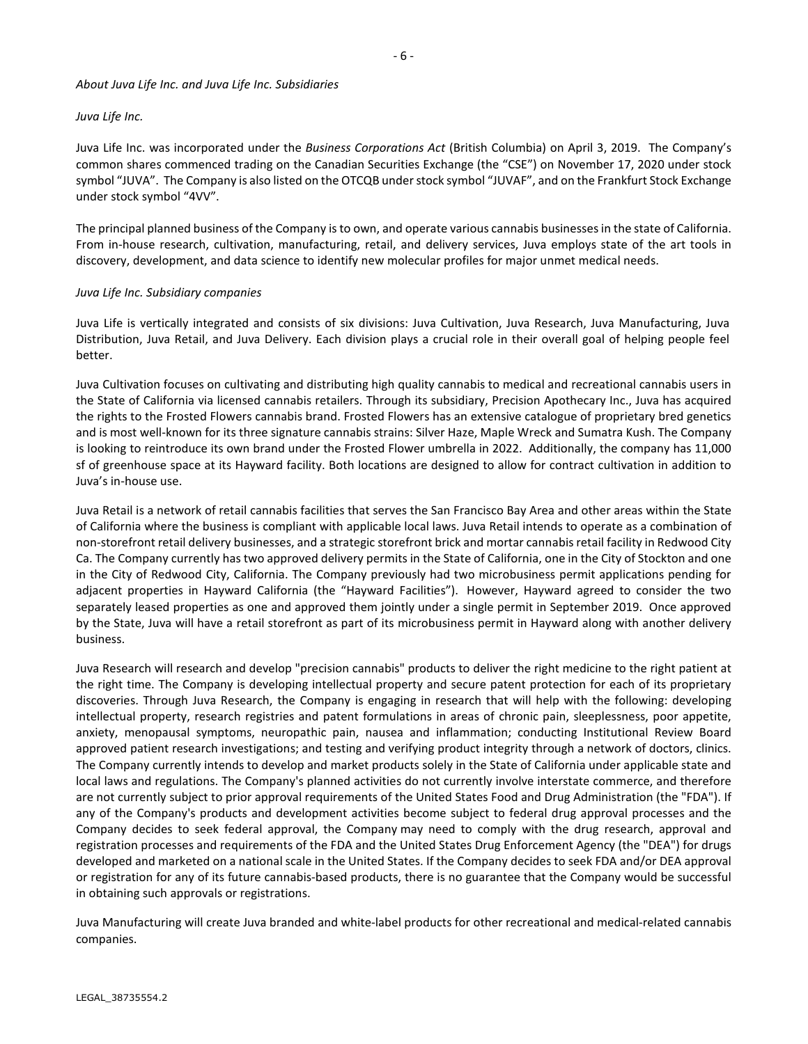### *About Juva Life Inc. and Juva Life Inc. Subsidiaries*

# *Juva Life Inc.*

Juva Life Inc. was incorporated under the *Business Corporations Act* (British Columbia) on April 3, 2019. The Company's common shares commenced trading on the Canadian Securities Exchange (the "CSE") on November 17, 2020 under stock symbol "JUVA". The Company is also listed on the OTCQB under stock symbol "JUVAF", and on the Frankfurt Stock Exchange under stock symbol "4VV".

The principal planned business of the Company is to own, and operate various cannabis businesses in the state of California. From in-house research, cultivation, manufacturing, retail, and delivery services, Juva employs state of the art tools in discovery, development, and data science to identify new molecular profiles for major unmet medical needs.

### *Juva Life Inc. Subsidiary companies*

Juva Life is vertically integrated and consists of six divisions: Juva Cultivation, Juva Research, Juva Manufacturing, Juva Distribution, Juva Retail, and Juva Delivery. Each division plays a crucial role in their overall goal of helping people feel better.

Juva Cultivation focuses on cultivating and distributing high quality cannabis to medical and recreational cannabis users in the State of California via licensed cannabis retailers. Through its subsidiary, Precision Apothecary Inc., Juva has acquired the rights to the Frosted Flowers cannabis brand. Frosted Flowers has an extensive catalogue of proprietary bred genetics and is most well-known for its three signature cannabis strains: Silver Haze, Maple Wreck and Sumatra Kush. The Company is looking to reintroduce its own brand under the Frosted Flower umbrella in 2022. Additionally, the company has 11,000 sf of greenhouse space at its Hayward facility. Both locations are designed to allow for contract cultivation in addition to Juva's in-house use.

Juva Retail is a network of retail cannabis facilities that serves the San Francisco Bay Area and other areas within the State of California where the business is compliant with applicable local laws. Juva Retail intends to operate as a combination of non-storefront retail delivery businesses, and a strategic storefront brick and mortar cannabis retail facility in Redwood City Ca. The Company currently has two approved delivery permits in the State of California, one in the City of Stockton and one in the City of Redwood City, California. The Company previously had two microbusiness permit applications pending for adjacent properties in Hayward California (the "Hayward Facilities"). However, Hayward agreed to consider the two separately leased properties as one and approved them jointly under a single permit in September 2019. Once approved by the State, Juva will have a retail storefront as part of its microbusiness permit in Hayward along with another delivery business.

Juva Research will research and develop "precision cannabis" products to deliver the right medicine to the right patient at the right time. The Company is developing intellectual property and secure patent protection for each of its proprietary discoveries. Through Juva Research, the Company is engaging in research that will help with the following: developing intellectual property, research registries and patent formulations in areas of chronic pain, sleeplessness, poor appetite, anxiety, menopausal symptoms, neuropathic pain, nausea and inflammation; conducting Institutional Review Board approved patient research investigations; and testing and verifying product integrity through a network of doctors, clinics. The Company currently intends to develop and market products solely in the State of California under applicable state and local laws and regulations. The Company's planned activities do not currently involve interstate commerce, and therefore are not currently subject to prior approval requirements of the United States Food and Drug Administration (the "FDA"). If any of the Company's products and development activities become subject to federal drug approval processes and the Company decides to seek federal approval, the Company may need to comply with the drug research, approval and registration processes and requirements of the FDA and the United States Drug Enforcement Agency (the "DEA") for drugs developed and marketed on a national scale in the United States. If the Company decides to seek FDA and/or DEA approval or registration for any of its future cannabis-based products, there is no guarantee that the Company would be successful in obtaining such approvals or registrations.

Juva Manufacturing will create Juva branded and white-label products for other recreational and medical-related cannabis companies.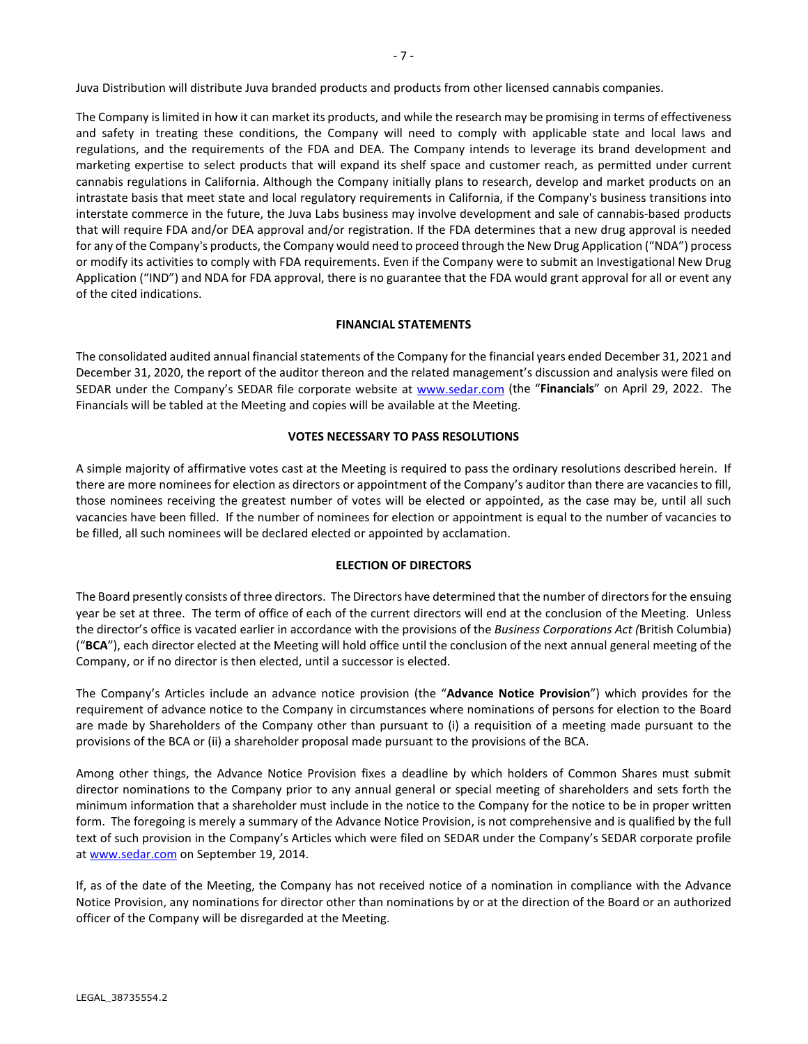The Company is limited in how it can market its products, and while the research may be promising in terms of effectiveness and safety in treating these conditions, the Company will need to comply with applicable state and local laws and regulations, and the requirements of the FDA and DEA. The Company intends to leverage its brand development and marketing expertise to select products that will expand its shelf space and customer reach, as permitted under current cannabis regulations in California. Although the Company initially plans to research, develop and market products on an intrastate basis that meet state and local regulatory requirements in California, if the Company's business transitions into interstate commerce in the future, the Juva Labs business may involve development and sale of cannabis-based products that will require FDA and/or DEA approval and/or registration. If the FDA determines that a new drug approval is needed for any of the Company's products, the Company would need to proceed through the New Drug Application ("NDA") process or modify its activities to comply with FDA requirements. Even if the Company were to submit an Investigational New Drug Application ("IND") and NDA for FDA approval, there is no guarantee that the FDA would grant approval for all or event any of the cited indications.

# **FINANCIAL STATEMENTS**

The consolidated audited annual financial statements of the Company for the financial years ended December 31, 2021 and December 31, 2020, the report of the auditor thereon and the related management's discussion and analysis were filed on SEDAR under the Company's SEDAR file corporate website at [www.sedar.com](http://www.sedar.com/) (the "**Financials**" on April 29, 2022. The Financials will be tabled at the Meeting and copies will be available at the Meeting.

# **VOTES NECESSARY TO PASS RESOLUTIONS**

A simple majority of affirmative votes cast at the Meeting is required to pass the ordinary resolutions described herein. If there are more nominees for election as directors or appointment of the Company's auditor than there are vacancies to fill, those nominees receiving the greatest number of votes will be elected or appointed, as the case may be, until all such vacancies have been filled. If the number of nominees for election or appointment is equal to the number of vacancies to be filled, all such nominees will be declared elected or appointed by acclamation.

# **ELECTION OF DIRECTORS**

The Board presently consists of three directors. The Directors have determined that the number of directors for the ensuing year be set at three. The term of office of each of the current directors will end at the conclusion of the Meeting. Unless the director's office is vacated earlier in accordance with the provisions of the *Business Corporations Act (*British Columbia) ("**BCA**"), each director elected at the Meeting will hold office until the conclusion of the next annual general meeting of the Company, or if no director is then elected, until a successor is elected.

The Company's Articles include an advance notice provision (the "**Advance Notice Provision**") which provides for the requirement of advance notice to the Company in circumstances where nominations of persons for election to the Board are made by Shareholders of the Company other than pursuant to (i) a requisition of a meeting made pursuant to the provisions of the BCA or (ii) a shareholder proposal made pursuant to the provisions of the BCA.

Among other things, the Advance Notice Provision fixes a deadline by which holders of Common Shares must submit director nominations to the Company prior to any annual general or special meeting of shareholders and sets forth the minimum information that a shareholder must include in the notice to the Company for the notice to be in proper written form. The foregoing is merely a summary of the Advance Notice Provision, is not comprehensive and is qualified by the full text of such provision in the Company's Articles which were filed on SEDAR under the Company's SEDAR corporate profile at [www.sedar.com](http://www.sedar.com/) on September 19, 2014.

If, as of the date of the Meeting, the Company has not received notice of a nomination in compliance with the Advance Notice Provision, any nominations for director other than nominations by or at the direction of the Board or an authorized officer of the Company will be disregarded at the Meeting.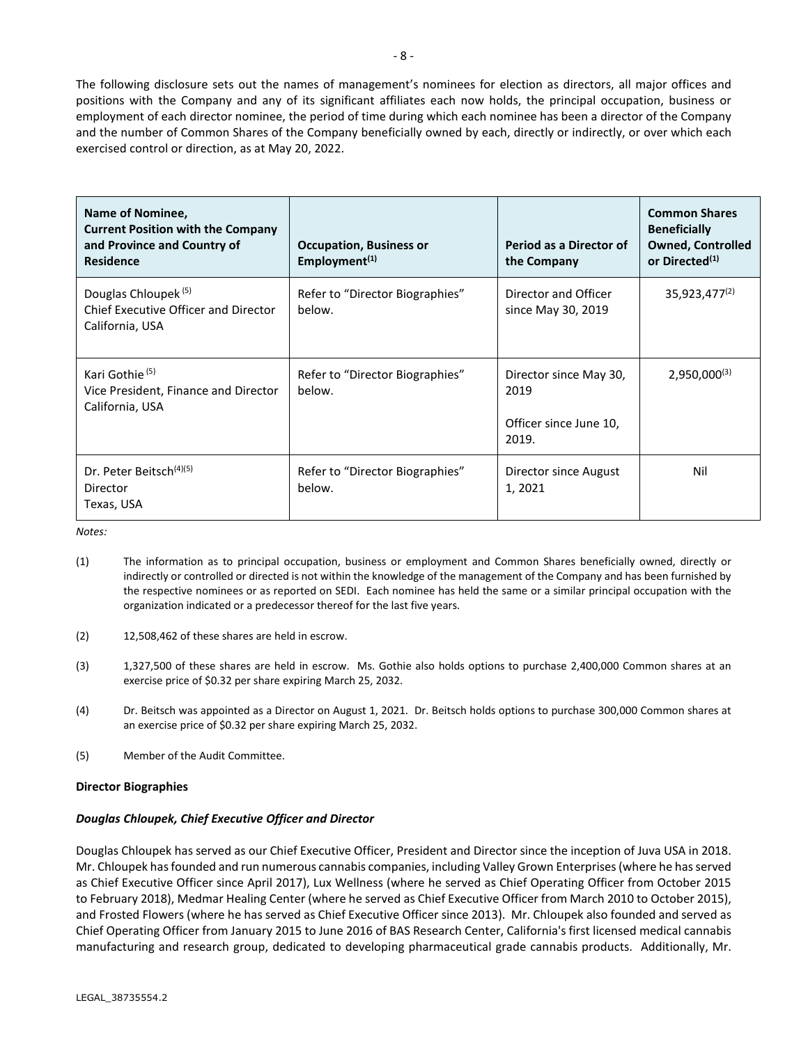The following disclosure sets out the names of management's nominees for election as directors, all major offices and positions with the Company and any of its significant affiliates each now holds, the principal occupation, business or employment of each director nominee, the period of time during which each nominee has been a director of the Company and the number of Common Shares of the Company beneficially owned by each, directly or indirectly, or over which each exercised control or direction, as at May 20, 2022.

| Name of Nominee,<br><b>Current Position with the Company</b><br>and Province and Country of<br><b>Residence</b> | <b>Occupation, Business or</b><br>Employment <sup><math>(1)</math></sup> | Period as a Director of<br>the Company                            | <b>Common Shares</b><br><b>Beneficially</b><br><b>Owned, Controlled</b><br>or Directed <sup>(1)</sup> |
|-----------------------------------------------------------------------------------------------------------------|--------------------------------------------------------------------------|-------------------------------------------------------------------|-------------------------------------------------------------------------------------------------------|
| Douglas Chloupek <sup>(5)</sup><br>Chief Executive Officer and Director<br>California, USA                      | Refer to "Director Biographies"<br>below.                                | Director and Officer<br>since May 30, 2019                        | 35,923,477 <sup>(2)</sup>                                                                             |
| Kari Gothie <sup>(5)</sup><br>Vice President, Finance and Director<br>California, USA                           | Refer to "Director Biographies"<br>below.                                | Director since May 30,<br>2019<br>Officer since June 10,<br>2019. | $2,950,000^{(3)}$                                                                                     |
| Dr. Peter Beitsch <sup>(4)(5)</sup><br>Director<br>Texas, USA                                                   | Refer to "Director Biographies"<br>below.                                | Director since August<br>1, 2021                                  | Nil                                                                                                   |

*Notes:*

- (1) The information as to principal occupation, business or employment and Common Shares beneficially owned, directly or indirectly or controlled or directed is not within the knowledge of the management of the Company and has been furnished by the respective nominees or as reported on SEDI. Each nominee has held the same or a similar principal occupation with the organization indicated or a predecessor thereof for the last five years.
- (2) 12,508,462 of these shares are held in escrow.
- (3) 1,327,500 of these shares are held in escrow. Ms. Gothie also holds options to purchase 2,400,000 Common shares at an exercise price of \$0.32 per share expiring March 25, 2032.
- (4) Dr. Beitsch was appointed as a Director on August 1, 2021. Dr. Beitsch holds options to purchase 300,000 Common shares at an exercise price of \$0.32 per share expiring March 25, 2032.
- (5) Member of the Audit Committee.

# **Director Biographies**

# *Douglas Chloupek, Chief Executive Officer and Director*

Douglas Chloupek has served as our Chief Executive Officer, President and Director since the inception of Juva USA in 2018. Mr. Chloupek has founded and run numerous cannabis companies, including Valley Grown Enterprises (where he has served as Chief Executive Officer since April 2017), Lux Wellness (where he served as Chief Operating Officer from October 2015 to February 2018), Medmar Healing Center (where he served as Chief Executive Officer from March 2010 to October 2015), and Frosted Flowers (where he has served as Chief Executive Officer since 2013). Mr. Chloupek also founded and served as Chief Operating Officer from January 2015 to June 2016 of BAS Research Center, California's first licensed medical cannabis manufacturing and research group, dedicated to developing pharmaceutical grade cannabis products. Additionally, Mr.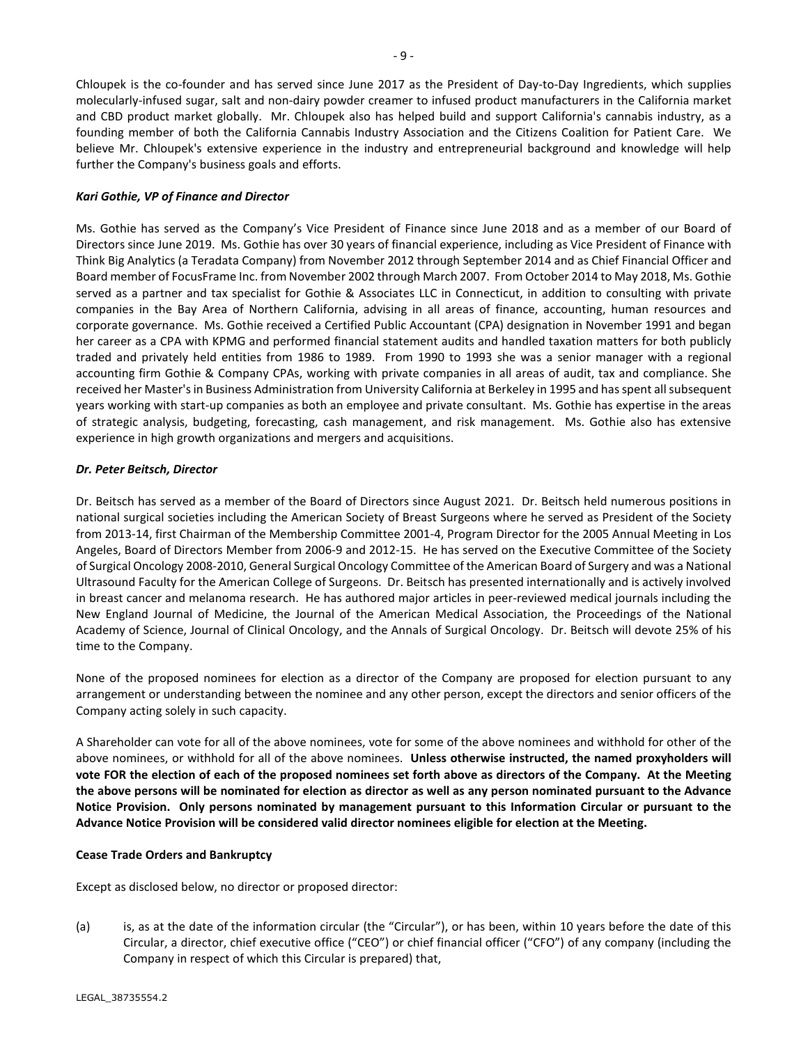Chloupek is the co-founder and has served since June 2017 as the President of Day-to-Day Ingredients, which supplies molecularly-infused sugar, salt and non-dairy powder creamer to infused product manufacturers in the California market and CBD product market globally. Mr. Chloupek also has helped build and support California's cannabis industry, as a founding member of both the California Cannabis Industry Association and the Citizens Coalition for Patient Care. We believe Mr. Chloupek's extensive experience in the industry and entrepreneurial background and knowledge will help further the Company's business goals and efforts.

# *Kari Gothie, VP of Finance and Director*

Ms. Gothie has served as the Company's Vice President of Finance since June 2018 and as a member of our Board of Directors since June 2019. Ms. Gothie has over 30 years of financial experience, including as Vice President of Finance with Think Big Analytics (a Teradata Company) from November 2012 through September 2014 and as Chief Financial Officer and Board member of FocusFrame Inc. from November 2002 through March 2007. From October 2014 to May 2018, Ms. Gothie served as a partner and tax specialist for Gothie & Associates LLC in Connecticut, in addition to consulting with private companies in the Bay Area of Northern California, advising in all areas of finance, accounting, human resources and corporate governance. Ms. Gothie received a Certified Public Accountant (CPA) designation in November 1991 and began her career as a CPA with KPMG and performed financial statement audits and handled taxation matters for both publicly traded and privately held entities from 1986 to 1989. From 1990 to 1993 she was a senior manager with a regional accounting firm Gothie & Company CPAs, working with private companies in all areas of audit, tax and compliance. She received her Master's in Business Administration from University California at Berkeley in 1995 and has spent all subsequent years working with start-up companies as both an employee and private consultant. Ms. Gothie has expertise in the areas of strategic analysis, budgeting, forecasting, cash management, and risk management. Ms. Gothie also has extensive experience in high growth organizations and mergers and acquisitions.

# *Dr. Peter Beitsch, Director*

Dr. Beitsch has served as a member of the Board of Directors since August 2021. Dr. Beitsch held numerous positions in national surgical societies including the American Society of Breast Surgeons where he served as President of the Society from 2013-14, first Chairman of the Membership Committee 2001-4, Program Director for the 2005 Annual Meeting in Los Angeles, Board of Directors Member from 2006-9 and 2012-15. He has served on the Executive Committee of the Society of Surgical Oncology 2008-2010, General Surgical Oncology Committee of the American Board of Surgery and was a National Ultrasound Faculty for the American College of Surgeons. Dr. Beitsch has presented internationally and is actively involved in breast cancer and melanoma research. He has authored major articles in peer-reviewed medical journals including the New England Journal of Medicine, the Journal of the American Medical Association, the Proceedings of the National Academy of Science, Journal of Clinical Oncology, and the Annals of Surgical Oncology. Dr. Beitsch will devote 25% of his time to the Company.

None of the proposed nominees for election as a director of the Company are proposed for election pursuant to any arrangement or understanding between the nominee and any other person, except the directors and senior officers of the Company acting solely in such capacity.

A Shareholder can vote for all of the above nominees, vote for some of the above nominees and withhold for other of the above nominees, or withhold for all of the above nominees. **Unless otherwise instructed, the named proxyholders will vote FOR the election of each of the proposed nominees set forth above as directors of the Company. At the Meeting the above persons will be nominated for election as director as well as any person nominated pursuant to the Advance Notice Provision. Only persons nominated by management pursuant to this Information Circular or pursuant to the Advance Notice Provision will be considered valid director nominees eligible for election at the Meeting.**

# **Cease Trade Orders and Bankruptcy**

Except as disclosed below, no director or proposed director:

(a) is, as at the date of the information circular (the "Circular"), or has been, within 10 years before the date of this Circular, a director, chief executive office ("CEO") or chief financial officer ("CFO") of any company (including the Company in respect of which this Circular is prepared) that,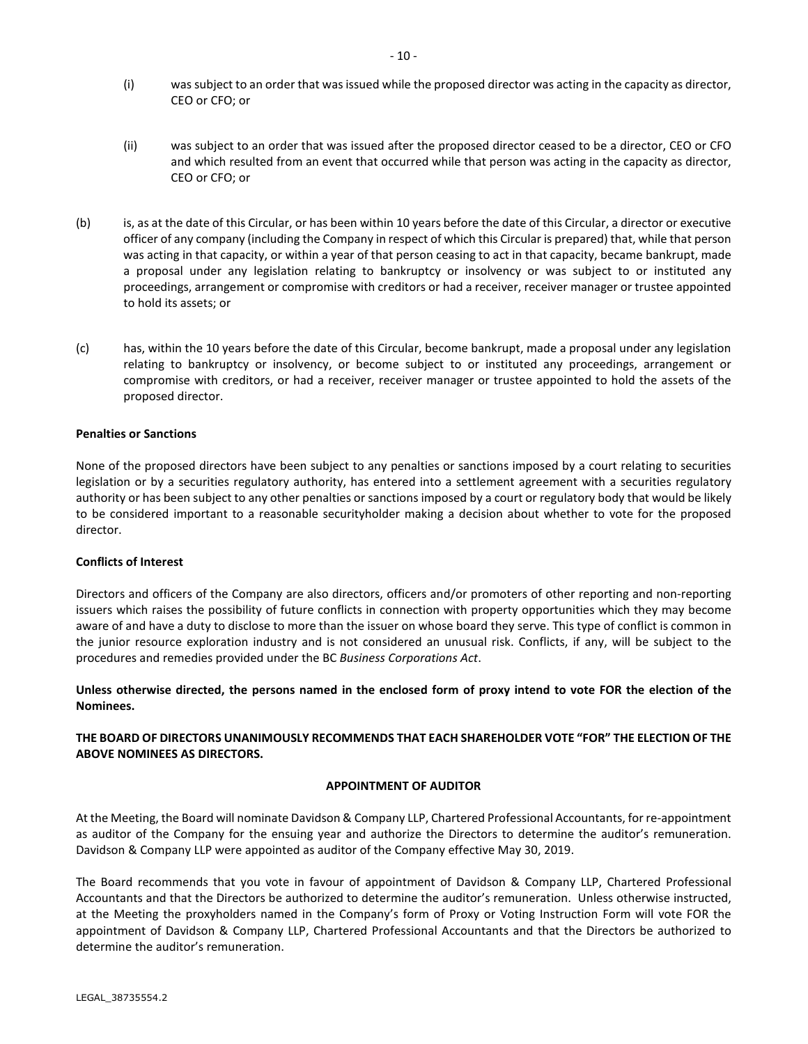- (i) was subject to an order that was issued while the proposed director was acting in the capacity as director, CEO or CFO; or
- (ii) was subject to an order that was issued after the proposed director ceased to be a director, CEO or CFO and which resulted from an event that occurred while that person was acting in the capacity as director, CEO or CFO; or
- (b) is, as at the date of this Circular, or has been within 10 years before the date of this Circular, a director or executive officer of any company (including the Company in respect of which this Circular is prepared) that, while that person was acting in that capacity, or within a year of that person ceasing to act in that capacity, became bankrupt, made a proposal under any legislation relating to bankruptcy or insolvency or was subject to or instituted any proceedings, arrangement or compromise with creditors or had a receiver, receiver manager or trustee appointed to hold its assets; or
- (c) has, within the 10 years before the date of this Circular, become bankrupt, made a proposal under any legislation relating to bankruptcy or insolvency, or become subject to or instituted any proceedings, arrangement or compromise with creditors, or had a receiver, receiver manager or trustee appointed to hold the assets of the proposed director.

# **Penalties or Sanctions**

None of the proposed directors have been subject to any penalties or sanctions imposed by a court relating to securities legislation or by a securities regulatory authority, has entered into a settlement agreement with a securities regulatory authority or has been subject to any other penalties or sanctions imposed by a court or regulatory body that would be likely to be considered important to a reasonable securityholder making a decision about whether to vote for the proposed director.

# **Conflicts of Interest**

Directors and officers of the Company are also directors, officers and/or promoters of other reporting and non-reporting issuers which raises the possibility of future conflicts in connection with property opportunities which they may become aware of and have a duty to disclose to more than the issuer on whose board they serve. This type of conflict is common in the junior resource exploration industry and is not considered an unusual risk. Conflicts, if any, will be subject to the procedures and remedies provided under the BC *Business Corporations Act*.

**Unless otherwise directed, the persons named in the enclosed form of proxy intend to vote FOR the election of the Nominees.**

# **THE BOARD OF DIRECTORS UNANIMOUSLY RECOMMENDS THAT EACH SHAREHOLDER VOTE "FOR" THE ELECTION OF THE ABOVE NOMINEES AS DIRECTORS.**

# **APPOINTMENT OF AUDITOR**

At the Meeting, the Board will nominate Davidson & Company LLP, Chartered Professional Accountants, for re-appointment as auditor of the Company for the ensuing year and authorize the Directors to determine the auditor's remuneration. Davidson & Company LLP were appointed as auditor of the Company effective May 30, 2019.

The Board recommends that you vote in favour of appointment of Davidson & Company LLP, Chartered Professional Accountants and that the Directors be authorized to determine the auditor's remuneration. Unless otherwise instructed, at the Meeting the proxyholders named in the Company's form of Proxy or Voting Instruction Form will vote FOR the appointment of Davidson & Company LLP, Chartered Professional Accountants and that the Directors be authorized to determine the auditor's remuneration.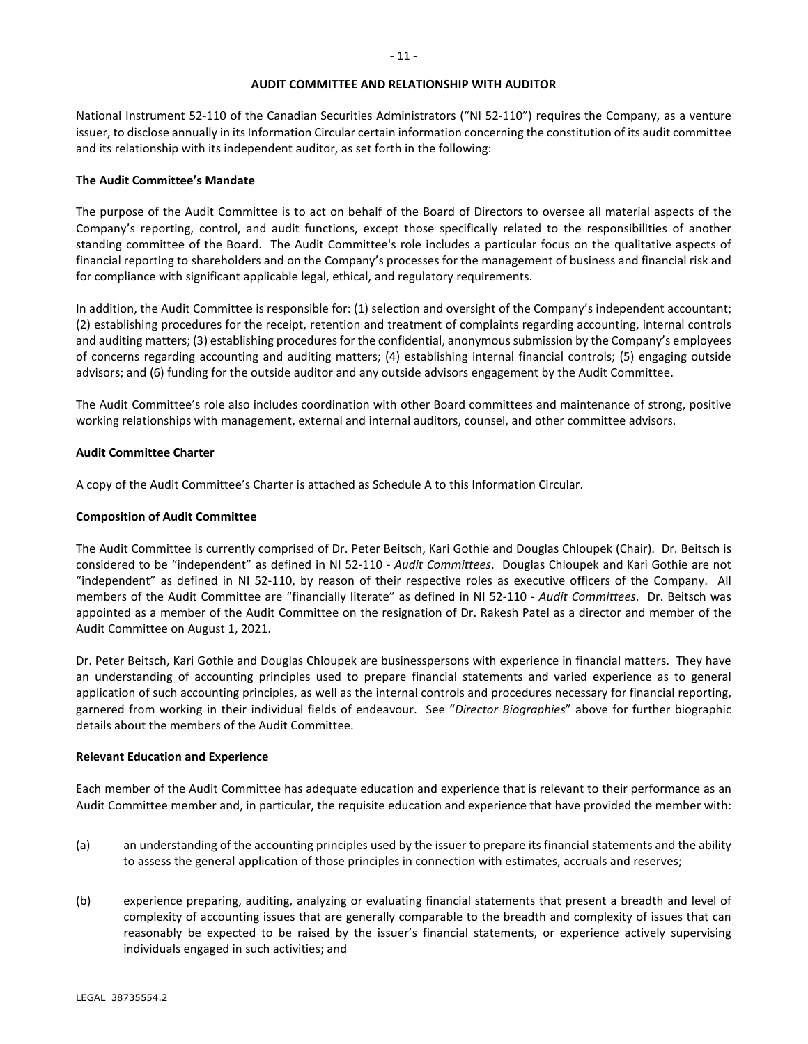#### **AUDIT COMMITTEE AND RELATIONSHIP WITH AUDITOR**

National Instrument 52-110 of the Canadian Securities Administrators ("NI 52-110") requires the Company, as a venture issuer, to disclose annually in its Information Circular certain information concerning the constitution of its audit committee and its relationship with its independent auditor, as set forth in the following:

### **The Audit Committee's Mandate**

The purpose of the Audit Committee is to act on behalf of the Board of Directors to oversee all material aspects of the Company's reporting, control, and audit functions, except those specifically related to the responsibilities of another standing committee of the Board. The Audit Committee's role includes a particular focus on the qualitative aspects of financial reporting to shareholders and on the Company's processes for the management of business and financial risk and for compliance with significant applicable legal, ethical, and regulatory requirements.

In addition, the Audit Committee is responsible for: (1) selection and oversight of the Company's independent accountant; (2) establishing procedures for the receipt, retention and treatment of complaints regarding accounting, internal controls and auditing matters; (3) establishing procedures for the confidential, anonymous submission by the Company's employees of concerns regarding accounting and auditing matters; (4) establishing internal financial controls; (5) engaging outside advisors; and (6) funding for the outside auditor and any outside advisors engagement by the Audit Committee.

The Audit Committee's role also includes coordination with other Board committees and maintenance of strong, positive working relationships with management, external and internal auditors, counsel, and other committee advisors.

### **Audit Committee Charter**

A copy of the Audit Committee's Charter is attached as Schedule A to this Information Circular.

### **Composition of Audit Committee**

The Audit Committee is currently comprised of Dr. Peter Beitsch, Kari Gothie and Douglas Chloupek (Chair). Dr. Beitsch is considered to be "independent" as defined in NI 52-110 - *Audit Committees*. Douglas Chloupek and Kari Gothie are not "independent" as defined in NI 52-110, by reason of their respective roles as executive officers of the Company. All members of the Audit Committee are "financially literate" as defined in NI 52-110 - *Audit Committees*. Dr. Beitsch was appointed as a member of the Audit Committee on the resignation of Dr. Rakesh Patel as a director and member of the Audit Committee on August 1, 2021.

Dr. Peter Beitsch, Kari Gothie and Douglas Chloupek are businesspersons with experience in financial matters. They have an understanding of accounting principles used to prepare financial statements and varied experience as to general application of such accounting principles, as well as the internal controls and procedures necessary for financial reporting, garnered from working in their individual fields of endeavour. See "*Director Biographies*" above for further biographic details about the members of the Audit Committee.

#### **Relevant Education and Experience**

Each member of the Audit Committee has adequate education and experience that is relevant to their performance as an Audit Committee member and, in particular, the requisite education and experience that have provided the member with:

- (a) an understanding of the accounting principles used by the issuer to prepare its financial statements and the ability to assess the general application of those principles in connection with estimates, accruals and reserves;
- (b) experience preparing, auditing, analyzing or evaluating financial statements that present a breadth and level of complexity of accounting issues that are generally comparable to the breadth and complexity of issues that can reasonably be expected to be raised by the issuer's financial statements, or experience actively supervising individuals engaged in such activities; and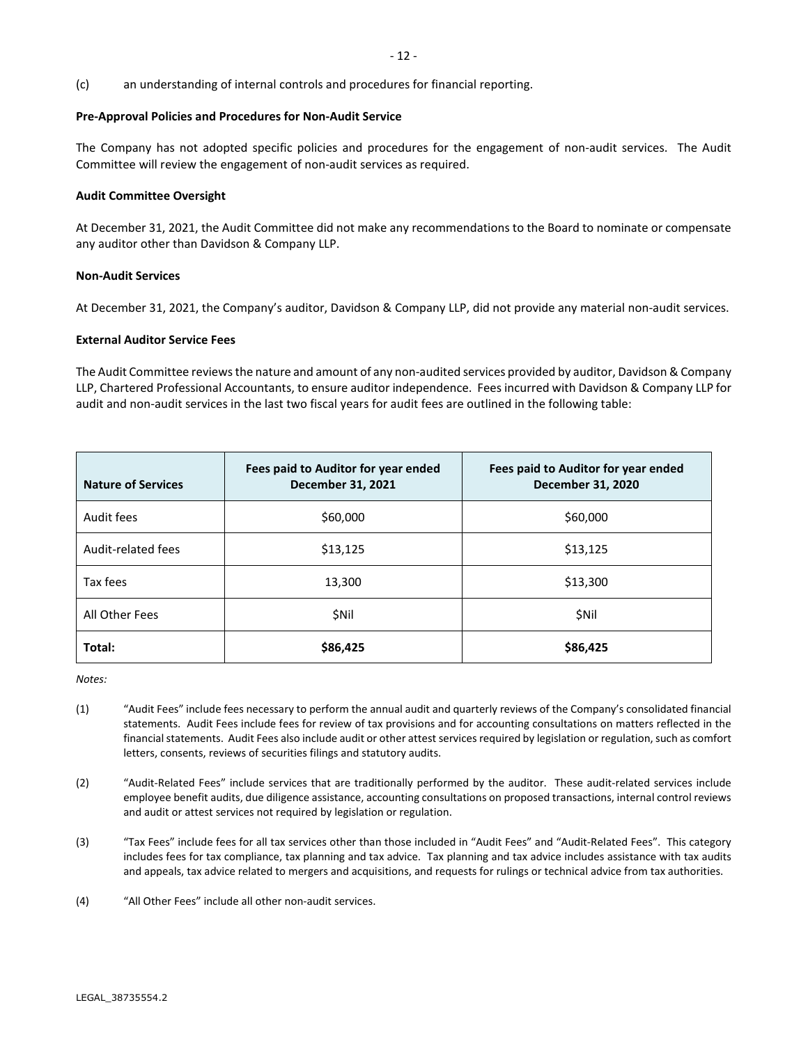(c) an understanding of internal controls and procedures for financial reporting.

### **Pre-Approval Policies and Procedures for Non-Audit Service**

The Company has not adopted specific policies and procedures for the engagement of non-audit services. The Audit Committee will review the engagement of non-audit services as required.

### **Audit Committee Oversight**

At December 31, 2021, the Audit Committee did not make any recommendations to the Board to nominate or compensate any auditor other than Davidson & Company LLP.

### **Non-Audit Services**

At December 31, 2021, the Company's auditor, Davidson & Company LLP, did not provide any material non-audit services.

### **External Auditor Service Fees**

The Audit Committee reviewsthe nature and amount of any non-audited services provided by auditor, Davidson & Company LLP, Chartered Professional Accountants, to ensure auditor independence. Fees incurred with Davidson & Company LLP for audit and non-audit services in the last two fiscal years for audit fees are outlined in the following table:

| <b>Nature of Services</b> | Fees paid to Auditor for year ended<br>December 31, 2021 | Fees paid to Auditor for year ended<br><b>December 31, 2020</b> |
|---------------------------|----------------------------------------------------------|-----------------------------------------------------------------|
| Audit fees                | \$60,000                                                 | \$60,000                                                        |
| Audit-related fees        | \$13,125                                                 | \$13,125                                                        |
| Tax fees                  | 13,300                                                   | \$13,300                                                        |
| All Other Fees            | \$Nil                                                    | <b>SNII</b>                                                     |
| Total:                    | \$86,425                                                 | \$86,425                                                        |

*Notes:*

- (1) "Audit Fees" include fees necessary to perform the annual audit and quarterly reviews of the Company's consolidated financial statements. Audit Fees include fees for review of tax provisions and for accounting consultations on matters reflected in the financial statements. Audit Fees also include audit or other attest services required by legislation or regulation, such as comfort letters, consents, reviews of securities filings and statutory audits.
- (2) "Audit-Related Fees" include services that are traditionally performed by the auditor. These audit-related services include employee benefit audits, due diligence assistance, accounting consultations on proposed transactions, internal control reviews and audit or attest services not required by legislation or regulation.
- (3) "Tax Fees" include fees for all tax services other than those included in "Audit Fees" and "Audit-Related Fees". This category includes fees for tax compliance, tax planning and tax advice. Tax planning and tax advice includes assistance with tax audits and appeals, tax advice related to mergers and acquisitions, and requests for rulings or technical advice from tax authorities.
- (4) "All Other Fees" include all other non-audit services.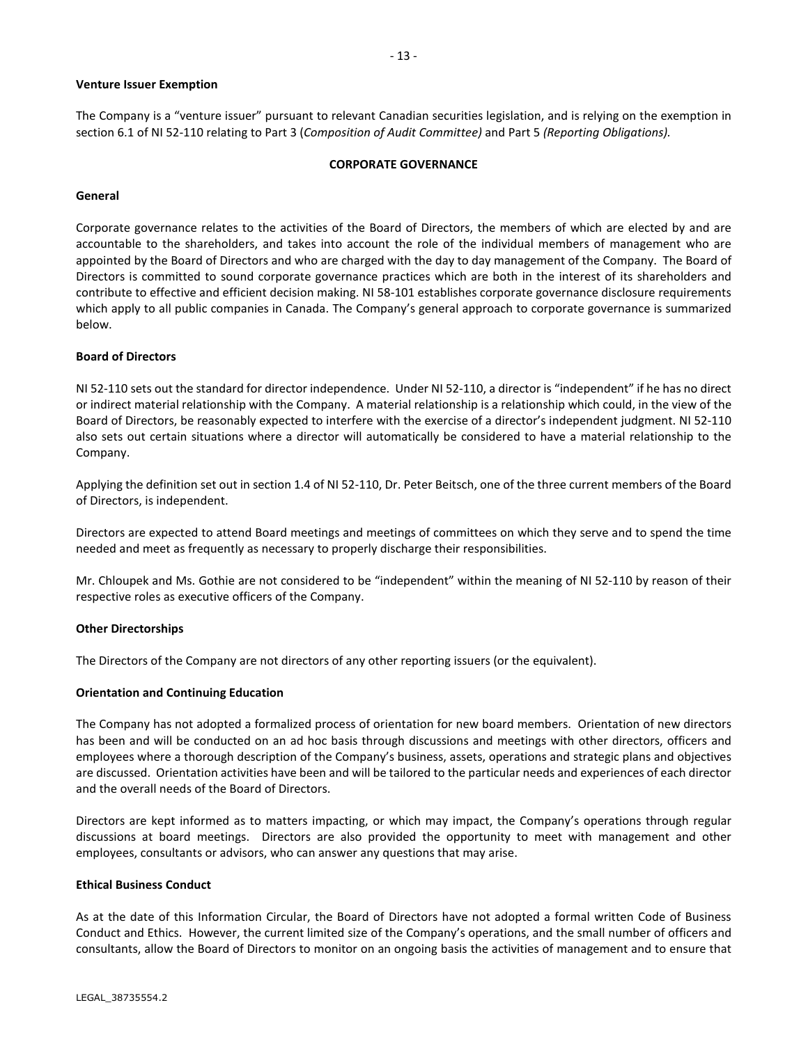# **Venture Issuer Exemption**

The Company is a "venture issuer" pursuant to relevant Canadian securities legislation, and is relying on the exemption in section 6.1 of NI 52-110 relating to Part 3 (*Composition of Audit Committee)* and Part 5 *(Reporting Obligations).*

# **CORPORATE GOVERNANCE**

# **General**

Corporate governance relates to the activities of the Board of Directors, the members of which are elected by and are accountable to the shareholders, and takes into account the role of the individual members of management who are appointed by the Board of Directors and who are charged with the day to day management of the Company. The Board of Directors is committed to sound corporate governance practices which are both in the interest of its shareholders and contribute to effective and efficient decision making. NI 58-101 establishes corporate governance disclosure requirements which apply to all public companies in Canada. The Company's general approach to corporate governance is summarized below.

# **Board of Directors**

NI 52-110 sets out the standard for director independence. Under NI 52-110, a director is "independent" if he has no direct or indirect material relationship with the Company. A material relationship is a relationship which could, in the view of the Board of Directors, be reasonably expected to interfere with the exercise of a director's independent judgment. NI 52-110 also sets out certain situations where a director will automatically be considered to have a material relationship to the Company.

Applying the definition set out in section 1.4 of NI 52-110, Dr. Peter Beitsch, one of the three current members of the Board of Directors, is independent.

Directors are expected to attend Board meetings and meetings of committees on which they serve and to spend the time needed and meet as frequently as necessary to properly discharge their responsibilities.

Mr. Chloupek and Ms. Gothie are not considered to be "independent" within the meaning of NI 52-110 by reason of their respective roles as executive officers of the Company.

# **Other Directorships**

The Directors of the Company are not directors of any other reporting issuers (or the equivalent).

# **Orientation and Continuing Education**

The Company has not adopted a formalized process of orientation for new board members. Orientation of new directors has been and will be conducted on an ad hoc basis through discussions and meetings with other directors, officers and employees where a thorough description of the Company's business, assets, operations and strategic plans and objectives are discussed. Orientation activities have been and will be tailored to the particular needs and experiences of each director and the overall needs of the Board of Directors.

Directors are kept informed as to matters impacting, or which may impact, the Company's operations through regular discussions at board meetings. Directors are also provided the opportunity to meet with management and other employees, consultants or advisors, who can answer any questions that may arise.

# **Ethical Business Conduct**

As at the date of this Information Circular, the Board of Directors have not adopted a formal written Code of Business Conduct and Ethics. However, the current limited size of the Company's operations, and the small number of officers and consultants, allow the Board of Directors to monitor on an ongoing basis the activities of management and to ensure that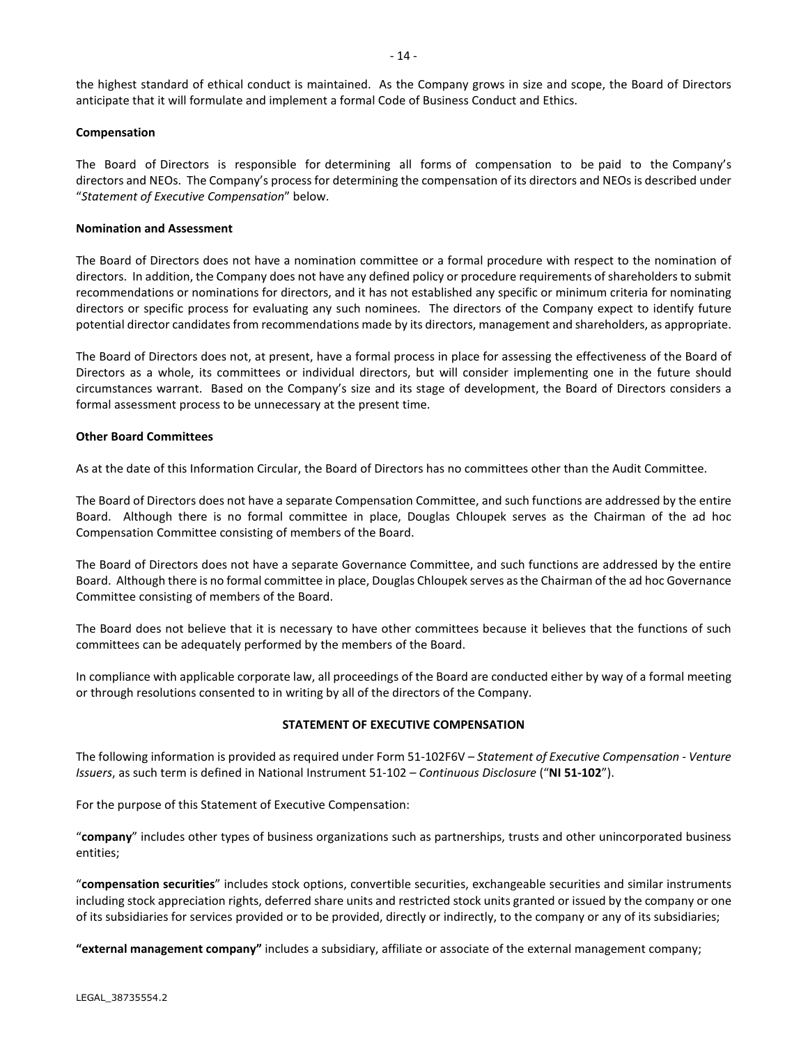the highest standard of ethical conduct is maintained. As the Company grows in size and scope, the Board of Directors anticipate that it will formulate and implement a formal Code of Business Conduct and Ethics.

# **Compensation**

The Board of Directors is responsible for determining all forms of compensation to be paid to the Company's directors and NEOs. The Company's process for determining the compensation of its directors and NEOs is described under "*Statement of Executive Compensation*" below.

### **Nomination and Assessment**

The Board of Directors does not have a nomination committee or a formal procedure with respect to the nomination of directors. In addition, the Company does not have any defined policy or procedure requirements of shareholders to submit recommendations or nominations for directors, and it has not established any specific or minimum criteria for nominating directors or specific process for evaluating any such nominees. The directors of the Company expect to identify future potential director candidates from recommendations made by its directors, management and shareholders, as appropriate.

The Board of Directors does not, at present, have a formal process in place for assessing the effectiveness of the Board of Directors as a whole, its committees or individual directors, but will consider implementing one in the future should circumstances warrant. Based on the Company's size and its stage of development, the Board of Directors considers a formal assessment process to be unnecessary at the present time.

### **Other Board Committees**

As at the date of this Information Circular, the Board of Directors has no committees other than the Audit Committee.

The Board of Directors does not have a separate Compensation Committee, and such functions are addressed by the entire Board. Although there is no formal committee in place, Douglas Chloupek serves as the Chairman of the ad hoc Compensation Committee consisting of members of the Board.

The Board of Directors does not have a separate Governance Committee, and such functions are addressed by the entire Board. Although there is no formal committee in place, Douglas Chloupek serves as the Chairman of the ad hoc Governance Committee consisting of members of the Board.

The Board does not believe that it is necessary to have other committees because it believes that the functions of such committees can be adequately performed by the members of the Board.

In compliance with applicable corporate law, all proceedings of the Board are conducted either by way of a formal meeting or through resolutions consented to in writing by all of the directors of the Company.

# **STATEMENT OF EXECUTIVE COMPENSATION**

The following information is provided as required under Form 51-102F6V – *Statement of Executive Compensation - Venture Issuers*, as such term is defined in National Instrument 51-102 *– Continuous Disclosure* ("**NI 51-102**").

For the purpose of this Statement of Executive Compensation:

"**company**" includes other types of business organizations such as partnerships, trusts and other unincorporated business entities;

"**compensation securities**" includes stock options, convertible securities, exchangeable securities and similar instruments including stock appreciation rights, deferred share units and restricted stock units granted or issued by the company or one of its subsidiaries for services provided or to be provided, directly or indirectly, to the company or any of its subsidiaries;

**"external management company"** includes a subsidiary, affiliate or associate of the external management company;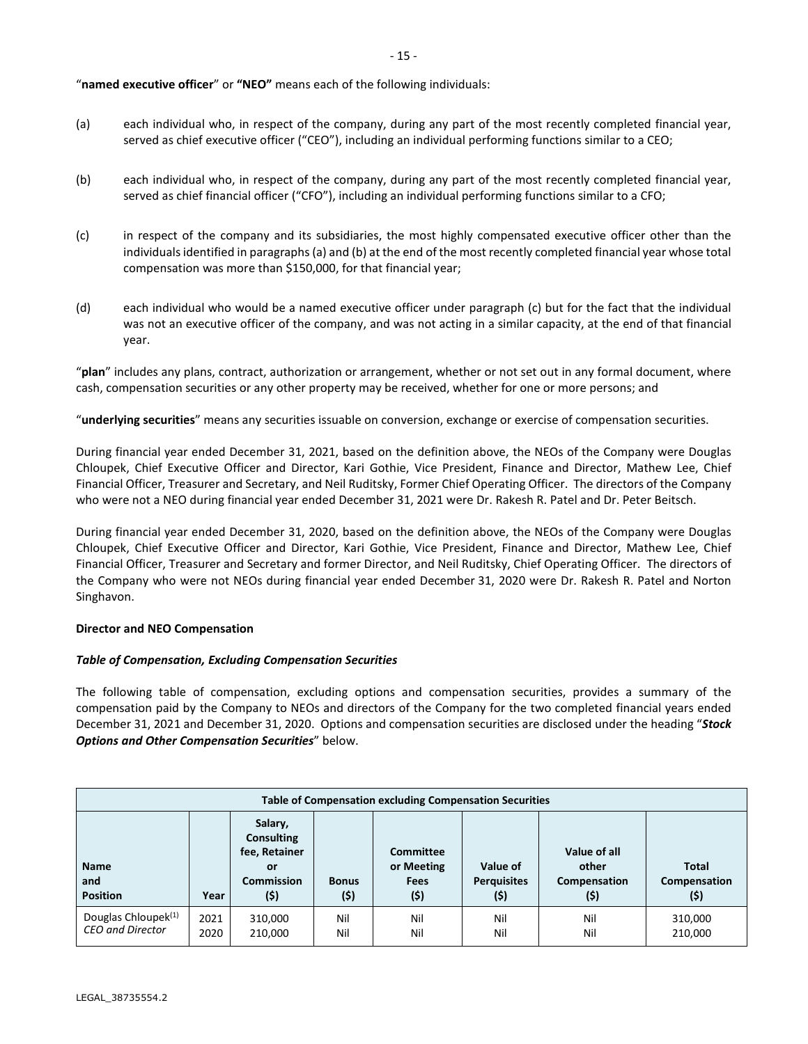"**named executive officer**" or **"NEO"** means each of the following individuals:

- (a) each individual who, in respect of the company, during any part of the most recently completed financial year, served as chief executive officer ("CEO"), including an individual performing functions similar to a CEO;
- (b) each individual who, in respect of the company, during any part of the most recently completed financial year, served as chief financial officer ("CFO"), including an individual performing functions similar to a CFO;
- (c) in respect of the company and its subsidiaries, the most highly compensated executive officer other than the individuals identified in paragraphs (a) and (b) at the end of the most recently completed financial year whose total compensation was more than \$150,000, for that financial year;
- (d) each individual who would be a named executive officer under paragraph (c) but for the fact that the individual was not an executive officer of the company, and was not acting in a similar capacity, at the end of that financial year.

"**plan**" includes any plans, contract, authorization or arrangement, whether or not set out in any formal document, where cash, compensation securities or any other property may be received, whether for one or more persons; and

"**underlying securities**" means any securities issuable on conversion, exchange or exercise of compensation securities.

During financial year ended December 31, 2021, based on the definition above, the NEOs of the Company were Douglas Chloupek, Chief Executive Officer and Director, Kari Gothie, Vice President, Finance and Director, Mathew Lee, Chief Financial Officer, Treasurer and Secretary, and Neil Ruditsky, Former Chief Operating Officer. The directors of the Company who were not a NEO during financial year ended December 31, 2021 were Dr. Rakesh R. Patel and Dr. Peter Beitsch.

During financial year ended December 31, 2020, based on the definition above, the NEOs of the Company were Douglas Chloupek, Chief Executive Officer and Director, Kari Gothie, Vice President, Finance and Director, Mathew Lee, Chief Financial Officer, Treasurer and Secretary and former Director, and Neil Ruditsky, Chief Operating Officer. The directors of the Company who were not NEOs during financial year ended December 31, 2020 were Dr. Rakesh R. Patel and Norton Singhavon.

# **Director and NEO Compensation**

# *Table of Compensation, Excluding Compensation Securities*

The following table of compensation, excluding options and compensation securities, provides a summary of the compensation paid by the Company to NEOs and directors of the Company for the two completed financial years ended December 31, 2021 and December 31, 2020. Options and compensation securities are disclosed under the heading "*Stock Options and Other Compensation Securities*" below.

| Table of Compensation excluding Compensation Securities    |              |                                                                                  |                      |                                                       |                                        |                                               |                                      |
|------------------------------------------------------------|--------------|----------------------------------------------------------------------------------|----------------------|-------------------------------------------------------|----------------------------------------|-----------------------------------------------|--------------------------------------|
| <b>Name</b><br>and<br><b>Position</b>                      | Year         | Salary,<br><b>Consulting</b><br>fee, Retainer<br>or<br><b>Commission</b><br>(\$) | <b>Bonus</b><br>(\$) | <b>Committee</b><br>or Meeting<br><b>Fees</b><br>(\$) | Value of<br><b>Perquisites</b><br>(\$) | Value of all<br>other<br>Compensation<br>(\$) | <b>Total</b><br>Compensation<br>(\$) |
| Douglas Chloupek <sup>(1)</sup><br><b>CEO and Director</b> | 2021<br>2020 | 310,000<br>210,000                                                               | Nil<br>Nil           | Nil<br>Nil                                            | Nil<br>Nil                             | Nil<br>Nil                                    | 310,000<br>210,000                   |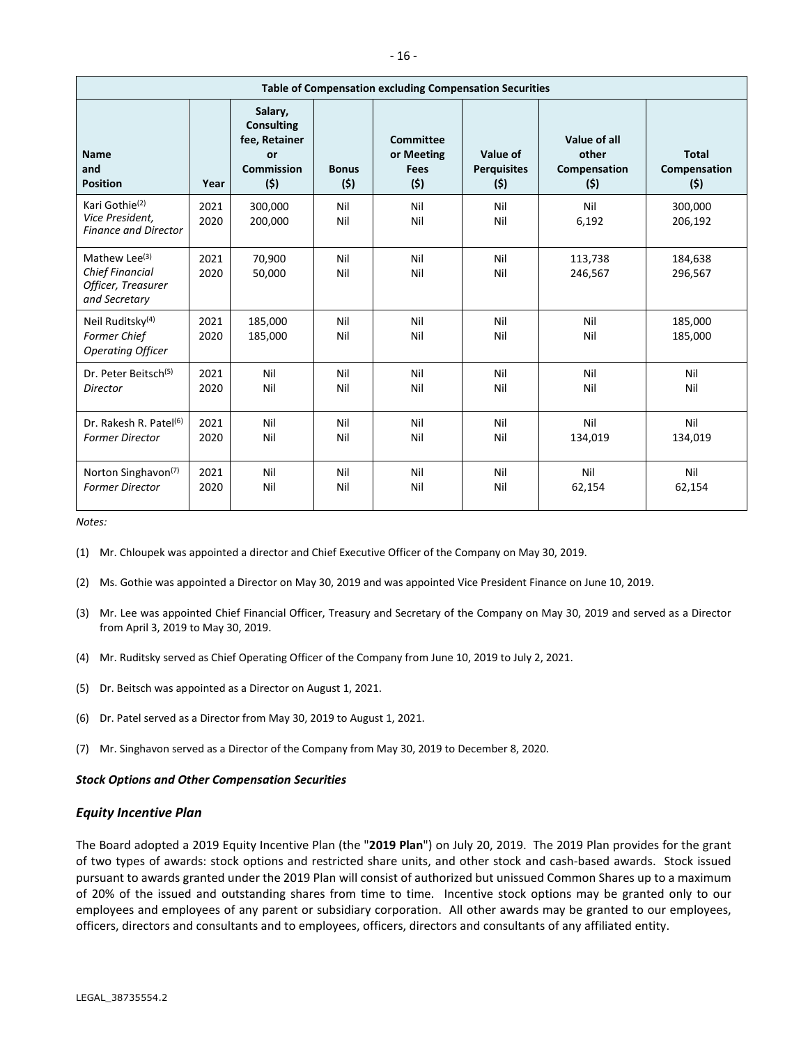| <b>Table of Compensation excluding Compensation Securities</b>                             |              |                                                                                 |                     |                                                      |                                       |                                              |                                     |
|--------------------------------------------------------------------------------------------|--------------|---------------------------------------------------------------------------------|---------------------|------------------------------------------------------|---------------------------------------|----------------------------------------------|-------------------------------------|
| <b>Name</b><br>and<br><b>Position</b>                                                      | Year         | Salary,<br><b>Consulting</b><br>fee, Retainer<br>or<br><b>Commission</b><br>(5) | <b>Bonus</b><br>(5) | <b>Committee</b><br>or Meeting<br><b>Fees</b><br>(5) | Value of<br><b>Perquisites</b><br>(5) | Value of all<br>other<br>Compensation<br>(5) | <b>Total</b><br>Compensation<br>(5) |
| Kari Gothie <sup>(2)</sup><br>Vice President,<br><b>Finance and Director</b>               | 2021<br>2020 | 300,000<br>200,000                                                              | Nil<br>Nil          | Nil<br>Nil                                           | Nil<br>Nil                            | Nil<br>6,192                                 | 300,000<br>206,192                  |
| Mathew Lee <sup>(3)</sup><br><b>Chief Financial</b><br>Officer, Treasurer<br>and Secretary | 2021<br>2020 | 70,900<br>50,000                                                                | Nil<br>Nil          | Nil<br>Nil                                           | Nil<br>Nil                            | 113,738<br>246,567                           | 184,638<br>296,567                  |
| Neil Ruditsky <sup>(4)</sup><br><b>Former Chief</b><br><b>Operating Officer</b>            | 2021<br>2020 | 185,000<br>185,000                                                              | Nil<br>Nil          | Nil<br>Nil                                           | Nil<br>Nil                            | Nil<br>Nil                                   | 185,000<br>185,000                  |
| Dr. Peter Beitsch <sup>(5)</sup><br>Director                                               | 2021<br>2020 | Nil<br>Nil                                                                      | Nil<br>Nil          | Nil<br>Nil                                           | Nil<br>Nil                            | Nil<br>Nil                                   | Nil<br>Nil                          |
| Dr. Rakesh R. Patel <sup>(6)</sup><br><b>Former Director</b>                               | 2021<br>2020 | Nil<br>Nil                                                                      | Nil<br>Nil          | Nil<br>Nil                                           | Nil<br>Nil                            | Nil<br>134,019                               | Nil<br>134,019                      |
| Norton Singhavon <sup>(7)</sup><br><b>Former Director</b>                                  | 2021<br>2020 | Nil<br>Nil                                                                      | Nil<br>Nil          | Nil<br>Nil                                           | Nil<br>Nil                            | Nil<br>62,154                                | Nil<br>62,154                       |

*Notes:*

(1) Mr. Chloupek was appointed a director and Chief Executive Officer of the Company on May 30, 2019.

(2) Ms. Gothie was appointed a Director on May 30, 2019 and was appointed Vice President Finance on June 10, 2019.

- (3) Mr. Lee was appointed Chief Financial Officer, Treasury and Secretary of the Company on May 30, 2019 and served as a Director from April 3, 2019 to May 30, 2019.
- (4) Mr. Ruditsky served as Chief Operating Officer of the Company from June 10, 2019 to July 2, 2021.
- (5) Dr. Beitsch was appointed as a Director on August 1, 2021.
- (6) Dr. Patel served as a Director from May 30, 2019 to August 1, 2021.
- (7) Mr. Singhavon served as a Director of the Company from May 30, 2019 to December 8, 2020.

# *Stock Options and Other Compensation Securities*

#### *Equity Incentive Plan*

The Board adopted a 2019 Equity Incentive Plan (the "**2019 Plan**") on July 20, 2019. The 2019 Plan provides for the grant of two types of awards: stock options and restricted share units, and other stock and cash-based awards. Stock issued pursuant to awards granted under the 2019 Plan will consist of authorized but unissued Common Shares up to a maximum of 20% of the issued and outstanding shares from time to time. Incentive stock options may be granted only to our employees and employees of any parent or subsidiary corporation. All other awards may be granted to our employees, officers, directors and consultants and to employees, officers, directors and consultants of any affiliated entity.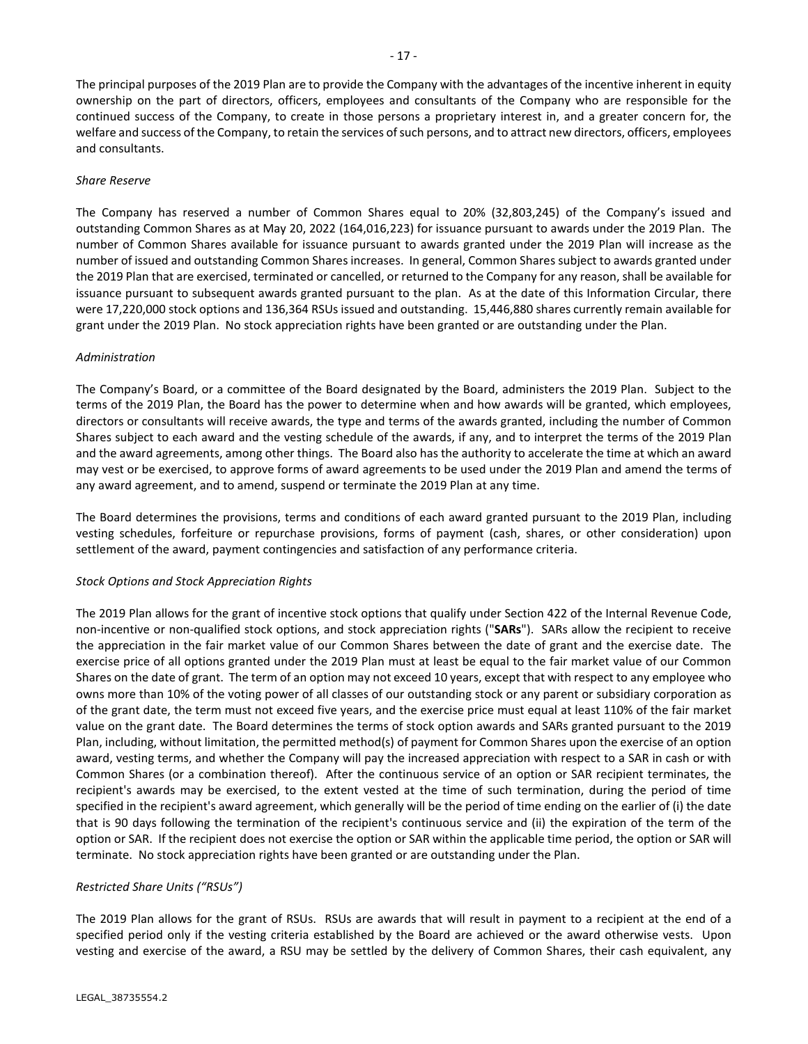The principal purposes of the 2019 Plan are to provide the Company with the advantages of the incentive inherent in equity ownership on the part of directors, officers, employees and consultants of the Company who are responsible for the continued success of the Company, to create in those persons a proprietary interest in, and a greater concern for, the welfare and success of the Company, to retain the services of such persons, and to attract new directors, officers, employees and consultants.

# *Share Reserve*

The Company has reserved a number of Common Shares equal to 20% (32,803,245) of the Company's issued and outstanding Common Shares as at May 20, 2022 (164,016,223) for issuance pursuant to awards under the 2019 Plan. The number of Common Shares available for issuance pursuant to awards granted under the 2019 Plan will increase as the number of issued and outstanding Common Shares increases. In general, Common Shares subject to awards granted under the 2019 Plan that are exercised, terminated or cancelled, or returned to the Company for any reason, shall be available for issuance pursuant to subsequent awards granted pursuant to the plan. As at the date of this Information Circular, there were 17,220,000 stock options and 136,364 RSUs issued and outstanding. 15,446,880 shares currently remain available for grant under the 2019 Plan. No stock appreciation rights have been granted or are outstanding under the Plan.

# *Administration*

The Company's Board, or a committee of the Board designated by the Board, administers the 2019 Plan. Subject to the terms of the 2019 Plan, the Board has the power to determine when and how awards will be granted, which employees, directors or consultants will receive awards, the type and terms of the awards granted, including the number of Common Shares subject to each award and the vesting schedule of the awards, if any, and to interpret the terms of the 2019 Plan and the award agreements, among other things. The Board also has the authority to accelerate the time at which an award may vest or be exercised, to approve forms of award agreements to be used under the 2019 Plan and amend the terms of any award agreement, and to amend, suspend or terminate the 2019 Plan at any time.

The Board determines the provisions, terms and conditions of each award granted pursuant to the 2019 Plan, including vesting schedules, forfeiture or repurchase provisions, forms of payment (cash, shares, or other consideration) upon settlement of the award, payment contingencies and satisfaction of any performance criteria.

# *Stock Options and Stock Appreciation Rights*

The 2019 Plan allows for the grant of incentive stock options that qualify under Section 422 of the Internal Revenue Code, non-incentive or non-qualified stock options, and stock appreciation rights ("**SARs**"). SARs allow the recipient to receive the appreciation in the fair market value of our Common Shares between the date of grant and the exercise date. The exercise price of all options granted under the 2019 Plan must at least be equal to the fair market value of our Common Shares on the date of grant. The term of an option may not exceed 10 years, except that with respect to any employee who owns more than 10% of the voting power of all classes of our outstanding stock or any parent or subsidiary corporation as of the grant date, the term must not exceed five years, and the exercise price must equal at least 110% of the fair market value on the grant date. The Board determines the terms of stock option awards and SARs granted pursuant to the 2019 Plan, including, without limitation, the permitted method(s) of payment for Common Shares upon the exercise of an option award, vesting terms, and whether the Company will pay the increased appreciation with respect to a SAR in cash or with Common Shares (or a combination thereof). After the continuous service of an option or SAR recipient terminates, the recipient's awards may be exercised, to the extent vested at the time of such termination, during the period of time specified in the recipient's award agreement, which generally will be the period of time ending on the earlier of (i) the date that is 90 days following the termination of the recipient's continuous service and (ii) the expiration of the term of the option or SAR. If the recipient does not exercise the option or SAR within the applicable time period, the option or SAR will terminate. No stock appreciation rights have been granted or are outstanding under the Plan.

# *Restricted Share Units ("RSUs")*

The 2019 Plan allows for the grant of RSUs. RSUs are awards that will result in payment to a recipient at the end of a specified period only if the vesting criteria established by the Board are achieved or the award otherwise vests. Upon vesting and exercise of the award, a RSU may be settled by the delivery of Common Shares, their cash equivalent, any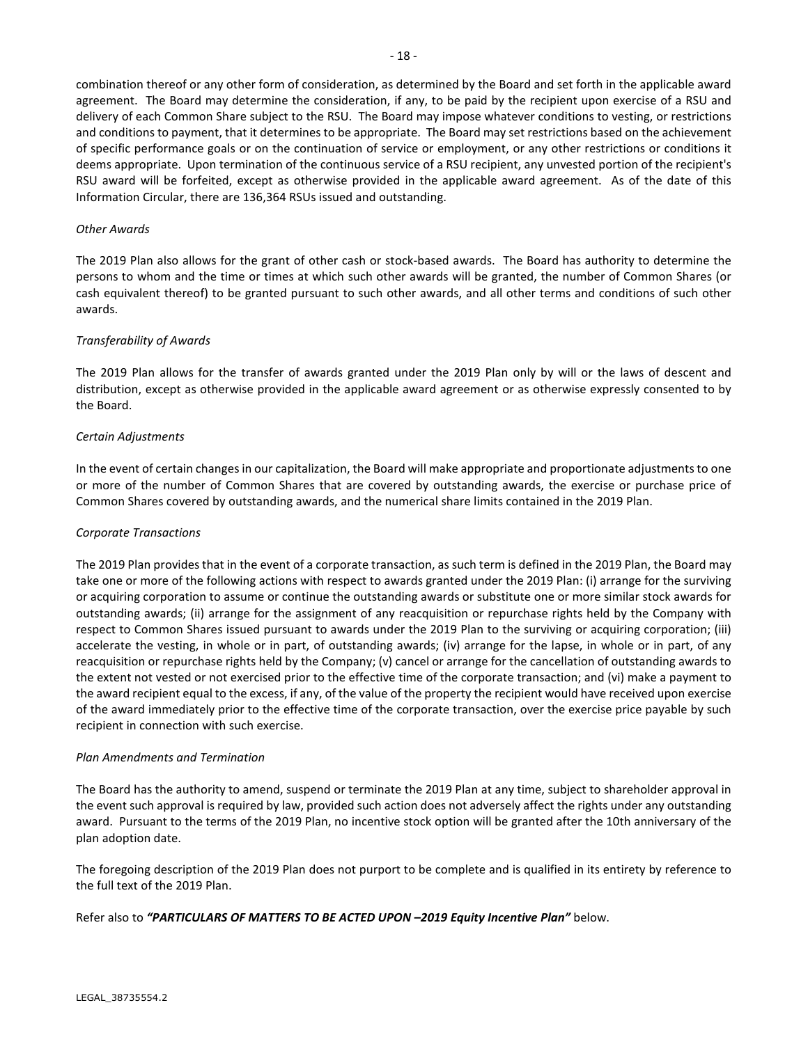combination thereof or any other form of consideration, as determined by the Board and set forth in the applicable award agreement. The Board may determine the consideration, if any, to be paid by the recipient upon exercise of a RSU and delivery of each Common Share subject to the RSU. The Board may impose whatever conditions to vesting, or restrictions and conditions to payment, that it determines to be appropriate. The Board may set restrictions based on the achievement of specific performance goals or on the continuation of service or employment, or any other restrictions or conditions it deems appropriate. Upon termination of the continuous service of a RSU recipient, any unvested portion of the recipient's RSU award will be forfeited, except as otherwise provided in the applicable award agreement. As of the date of this Information Circular, there are 136,364 RSUs issued and outstanding.

# *Other Awards*

The 2019 Plan also allows for the grant of other cash or stock-based awards. The Board has authority to determine the persons to whom and the time or times at which such other awards will be granted, the number of Common Shares (or cash equivalent thereof) to be granted pursuant to such other awards, and all other terms and conditions of such other awards.

# *Transferability of Awards*

The 2019 Plan allows for the transfer of awards granted under the 2019 Plan only by will or the laws of descent and distribution, except as otherwise provided in the applicable award agreement or as otherwise expressly consented to by the Board.

# *Certain Adjustments*

In the event of certain changes in our capitalization, the Board will make appropriate and proportionate adjustments to one or more of the number of Common Shares that are covered by outstanding awards, the exercise or purchase price of Common Shares covered by outstanding awards, and the numerical share limits contained in the 2019 Plan.

# *Corporate Transactions*

The 2019 Plan provides that in the event of a corporate transaction, as such term is defined in the 2019 Plan, the Board may take one or more of the following actions with respect to awards granted under the 2019 Plan: (i) arrange for the surviving or acquiring corporation to assume or continue the outstanding awards or substitute one or more similar stock awards for outstanding awards; (ii) arrange for the assignment of any reacquisition or repurchase rights held by the Company with respect to Common Shares issued pursuant to awards under the 2019 Plan to the surviving or acquiring corporation; (iii) accelerate the vesting, in whole or in part, of outstanding awards; (iv) arrange for the lapse, in whole or in part, of any reacquisition or repurchase rights held by the Company; (v) cancel or arrange for the cancellation of outstanding awards to the extent not vested or not exercised prior to the effective time of the corporate transaction; and (vi) make a payment to the award recipient equal to the excess, if any, of the value of the property the recipient would have received upon exercise of the award immediately prior to the effective time of the corporate transaction, over the exercise price payable by such recipient in connection with such exercise.

# *Plan Amendments and Termination*

The Board has the authority to amend, suspend or terminate the 2019 Plan at any time, subject to shareholder approval in the event such approval is required by law, provided such action does not adversely affect the rights under any outstanding award. Pursuant to the terms of the 2019 Plan, no incentive stock option will be granted after the 10th anniversary of the plan adoption date.

The foregoing description of the 2019 Plan does not purport to be complete and is qualified in its entirety by reference to the full text of the 2019 Plan.

Refer also to *"PARTICULARS OF MATTERS TO BE ACTED UPON –2019 Equity Incentive Plan"* below.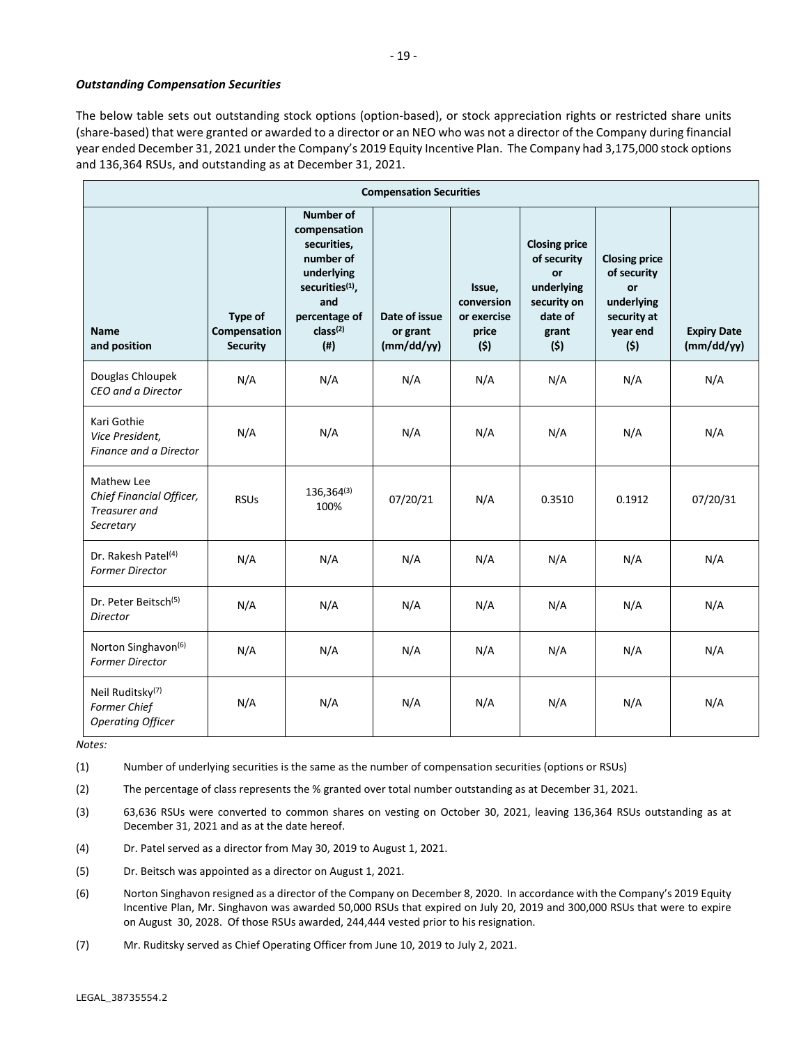# *Outstanding Compensation Securities*

The below table sets out outstanding stock options (option-based), or stock appreciation rights or restricted share units (share-based) that were granted or awarded to a director or an NEO who was not a director of the Company during financial year ended December 31, 2021 under the Company's 2019 Equity Incentive Plan. The Company had 3,175,000 stock options and 136,364 RSUs, and outstanding as at December 31, 2021.

| <b>Compensation Securities</b>                                           |                                            |                                                                                                                                                                        |                                         |                                                     |                                                                                                   |                                                                                           |                                  |  |
|--------------------------------------------------------------------------|--------------------------------------------|------------------------------------------------------------------------------------------------------------------------------------------------------------------------|-----------------------------------------|-----------------------------------------------------|---------------------------------------------------------------------------------------------------|-------------------------------------------------------------------------------------------|----------------------------------|--|
| <b>Name</b><br>and position                                              | Type of<br>Compensation<br><b>Security</b> | <b>Number of</b><br>compensation<br>securities,<br>number of<br>underlying<br>securities <sup>(1)</sup> ,<br>and<br>percentage of<br>class <sup>(2)</sup><br>$($ # $)$ | Date of issue<br>or grant<br>(mm/dd/yy) | Issue,<br>conversion<br>or exercise<br>price<br>(5) | <b>Closing price</b><br>of security<br>or<br>underlying<br>security on<br>date of<br>grant<br>(5) | <b>Closing price</b><br>of security<br>or<br>underlying<br>security at<br>year end<br>(5) | <b>Expiry Date</b><br>(mm/dd/yy) |  |
| Douglas Chloupek<br>CEO and a Director                                   | N/A                                        | N/A                                                                                                                                                                    | N/A                                     | N/A                                                 | N/A                                                                                               | N/A                                                                                       | N/A                              |  |
| Kari Gothie<br>Vice President.<br>Finance and a Director                 | N/A                                        | N/A                                                                                                                                                                    | N/A                                     | N/A                                                 | N/A                                                                                               | N/A                                                                                       | N/A                              |  |
| Mathew Lee<br>Chief Financial Officer,<br>Treasurer and<br>Secretary     | <b>RSUs</b>                                | $136,364^{(3)}$<br>100%                                                                                                                                                | 07/20/21                                | N/A                                                 | 0.3510                                                                                            | 0.1912                                                                                    | 07/20/31                         |  |
| Dr. Rakesh Patel <sup>(4)</sup><br><b>Former Director</b>                | N/A                                        | N/A                                                                                                                                                                    | N/A                                     | N/A                                                 | N/A                                                                                               | N/A                                                                                       | N/A                              |  |
| Dr. Peter Beitsch <sup>(5)</sup><br>Director                             | N/A                                        | N/A                                                                                                                                                                    | N/A                                     | N/A                                                 | N/A                                                                                               | N/A                                                                                       | N/A                              |  |
| Norton Singhavon <sup>(6)</sup><br><b>Former Director</b>                | N/A                                        | N/A                                                                                                                                                                    | N/A                                     | N/A                                                 | N/A                                                                                               | N/A                                                                                       | N/A                              |  |
| Neil Ruditsky <sup>(7)</sup><br>Former Chief<br><b>Operating Officer</b> | N/A                                        | N/A                                                                                                                                                                    | N/A                                     | N/A                                                 | N/A                                                                                               | N/A                                                                                       | N/A                              |  |

*Notes:*

(1) Number of underlying securities is the same as the number of compensation securities (options or RSUs)

(2) The percentage of class represents the % granted over total number outstanding as at December 31, 2021.

(3) 63,636 RSUs were converted to common shares on vesting on October 30, 2021, leaving 136,364 RSUs outstanding as at December 31, 2021 and as at the date hereof.

(4) Dr. Patel served as a director from May 30, 2019 to August 1, 2021.

(5) Dr. Beitsch was appointed as a director on August 1, 2021.

(6) Norton Singhavon resigned as a director of the Company on December 8, 2020. In accordance with the Company's 2019 Equity Incentive Plan, Mr. Singhavon was awarded 50,000 RSUs that expired on July 20, 2019 and 300,000 RSUs that were to expire on August 30, 2028. Of those RSUs awarded, 244,444 vested prior to his resignation.

(7) Mr. Ruditsky served as Chief Operating Officer from June 10, 2019 to July 2, 2021.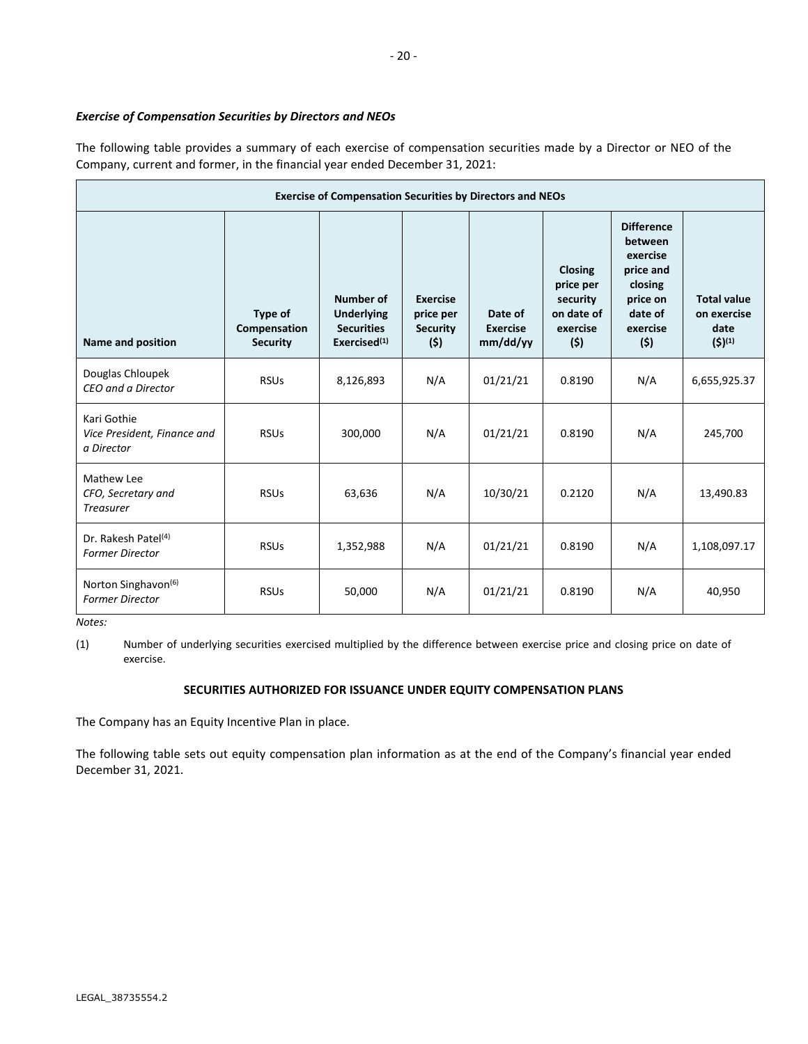# *Exercise of Compensation Securities by Directors and NEOs*

The following table provides a summary of each exercise of compensation securities made by a Director or NEO of the Company, current and former, in the financial year ended December 31, 2021:

| <b>Exercise of Compensation Securities by Directors and NEOs</b> |                                            |                                                                        |                                                        |                                        |                                                                          |                                                                                                            |                                                          |
|------------------------------------------------------------------|--------------------------------------------|------------------------------------------------------------------------|--------------------------------------------------------|----------------------------------------|--------------------------------------------------------------------------|------------------------------------------------------------------------------------------------------------|----------------------------------------------------------|
| Name and position                                                | Type of<br>Compensation<br><b>Security</b> | Number of<br><b>Underlying</b><br><b>Securities</b><br>Exercised $(1)$ | <b>Exercise</b><br>price per<br><b>Security</b><br>(5) | Date of<br><b>Exercise</b><br>mm/dd/yy | <b>Closing</b><br>price per<br>security<br>on date of<br>exercise<br>(5) | <b>Difference</b><br>between<br>exercise<br>price and<br>closing<br>price on<br>date of<br>exercise<br>(5) | <b>Total value</b><br>on exercise<br>date<br>$(5)^{(1)}$ |
| Douglas Chloupek<br>CEO and a Director                           | <b>RSUs</b>                                | 8,126,893                                                              | N/A                                                    | 01/21/21                               | 0.8190                                                                   | N/A                                                                                                        | 6,655,925.37                                             |
| Kari Gothie<br>Vice President, Finance and<br>a Director         | <b>RSUs</b>                                | 300,000                                                                | N/A                                                    | 01/21/21                               | 0.8190                                                                   | N/A                                                                                                        | 245,700                                                  |
| Mathew Lee<br>CFO, Secretary and<br><b>Treasurer</b>             | <b>RSUs</b>                                | 63,636                                                                 | N/A                                                    | 10/30/21                               | 0.2120                                                                   | N/A                                                                                                        | 13,490.83                                                |
| Dr. Rakesh Patel <sup>(4)</sup><br><b>Former Director</b>        | <b>RSUs</b>                                | 1,352,988                                                              | N/A                                                    | 01/21/21                               | 0.8190                                                                   | N/A                                                                                                        | 1,108,097.17                                             |
| Norton Singhavon <sup>(6)</sup><br><b>Former Director</b>        | <b>RSUs</b>                                | 50,000                                                                 | N/A                                                    | 01/21/21                               | 0.8190                                                                   | N/A                                                                                                        | 40,950                                                   |

*Notes:*

(1) Number of underlying securities exercised multiplied by the difference between exercise price and closing price on date of exercise.

# **SECURITIES AUTHORIZED FOR ISSUANCE UNDER EQUITY COMPENSATION PLANS**

The Company has an Equity Incentive Plan in place.

The following table sets out equity compensation plan information as at the end of the Company's financial year ended December 31, 2021.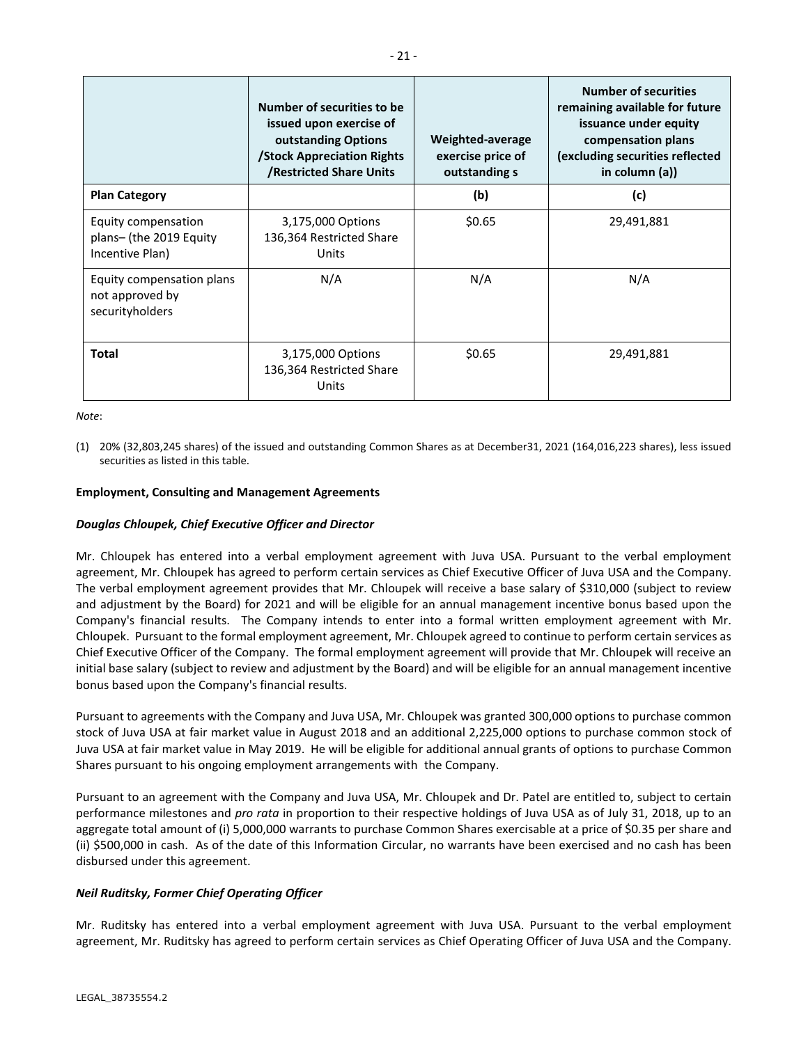|                                                                   | Number of securities to be<br>issued upon exercise of<br>outstanding Options<br><b>/Stock Appreciation Rights</b><br><b>/Restricted Share Units</b> | Weighted-average<br>exercise price of<br>outstanding s | <b>Number of securities</b><br>remaining available for future<br>issuance under equity<br>compensation plans<br>(excluding securities reflected<br>in column $(a)$ ) |
|-------------------------------------------------------------------|-----------------------------------------------------------------------------------------------------------------------------------------------------|--------------------------------------------------------|----------------------------------------------------------------------------------------------------------------------------------------------------------------------|
| <b>Plan Category</b>                                              |                                                                                                                                                     | (b)                                                    | (c)                                                                                                                                                                  |
| Equity compensation<br>plans- (the 2019 Equity<br>Incentive Plan) | 3,175,000 Options<br>136,364 Restricted Share<br>Units                                                                                              | \$0.65                                                 | 29,491,881                                                                                                                                                           |
| Equity compensation plans<br>not approved by<br>securityholders   | N/A                                                                                                                                                 | N/A                                                    | N/A                                                                                                                                                                  |
| <b>Total</b>                                                      | 3,175,000 Options<br>136,364 Restricted Share<br>Units                                                                                              | \$0.65                                                 | 29,491,881                                                                                                                                                           |

*Note*:

(1) 20% (32,803,245 shares) of the issued and outstanding Common Shares as at December31, 2021 (164,016,223 shares), less issued securities as listed in this table.

# **Employment, Consulting and Management Agreements**

# *Douglas Chloupek, Chief Executive Officer and Director*

Mr. Chloupek has entered into a verbal employment agreement with Juva USA. Pursuant to the verbal employment agreement, Mr. Chloupek has agreed to perform certain services as Chief Executive Officer of Juva USA and the Company. The verbal employment agreement provides that Mr. Chloupek will receive a base salary of \$310,000 (subject to review and adjustment by the Board) for 2021 and will be eligible for an annual management incentive bonus based upon the Company's financial results. The Company intends to enter into a formal written employment agreement with Mr. Chloupek. Pursuant to the formal employment agreement, Mr. Chloupek agreed to continue to perform certain services as Chief Executive Officer of the Company. The formal employment agreement will provide that Mr. Chloupek will receive an initial base salary (subject to review and adjustment by the Board) and will be eligible for an annual management incentive bonus based upon the Company's financial results.

Pursuant to agreements with the Company and Juva USA, Mr. Chloupek was granted 300,000 options to purchase common stock of Juva USA at fair market value in August 2018 and an additional 2,225,000 options to purchase common stock of Juva USA at fair market value in May 2019. He will be eligible for additional annual grants of options to purchase Common Shares pursuant to his ongoing employment arrangements with the Company.

Pursuant to an agreement with the Company and Juva USA, Mr. Chloupek and Dr. Patel are entitled to, subject to certain performance milestones and *pro rata* in proportion to their respective holdings of Juva USA as of July 31, 2018, up to an aggregate total amount of (i) 5,000,000 warrants to purchase Common Shares exercisable at a price of \$0.35 per share and (ii) \$500,000 in cash. As of the date of this Information Circular, no warrants have been exercised and no cash has been disbursed under this agreement.

# *Neil Ruditsky, Former Chief Operating Officer*

Mr. Ruditsky has entered into a verbal employment agreement with Juva USA. Pursuant to the verbal employment agreement, Mr. Ruditsky has agreed to perform certain services as Chief Operating Officer of Juva USA and the Company.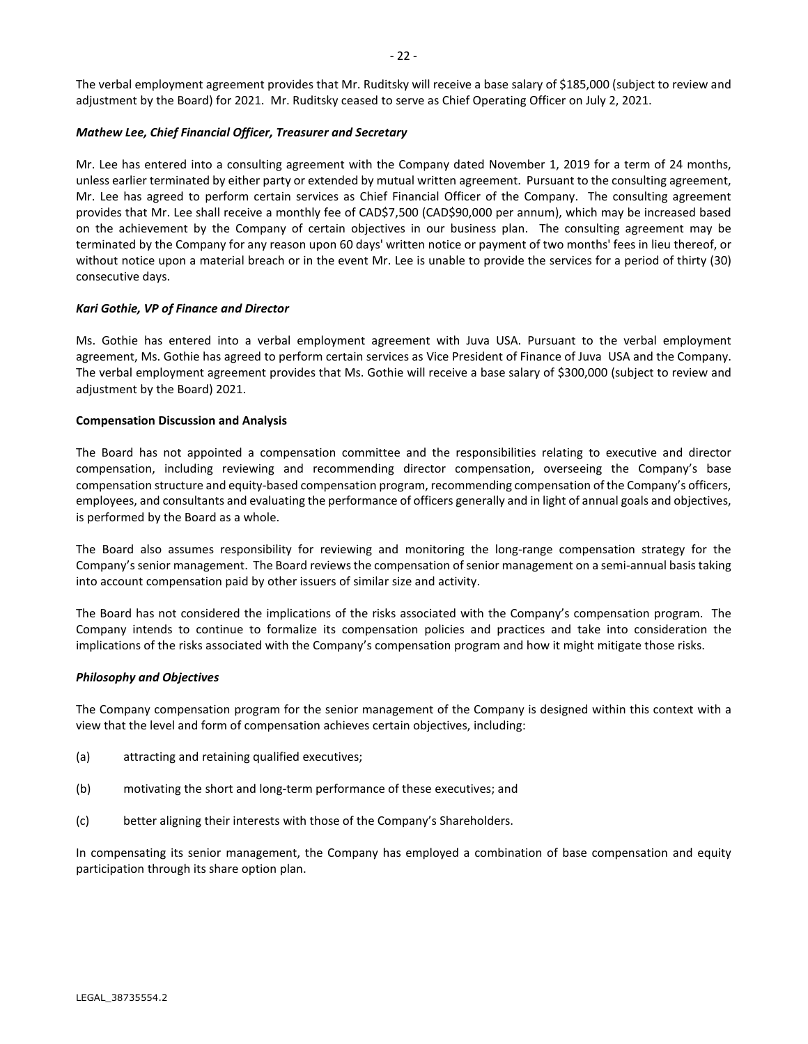The verbal employment agreement provides that Mr. Ruditsky will receive a base salary of \$185,000 (subject to review and adjustment by the Board) for 2021. Mr. Ruditsky ceased to serve as Chief Operating Officer on July 2, 2021.

# *Mathew Lee, Chief Financial Officer, Treasurer and Secretary*

Mr. Lee has entered into a consulting agreement with the Company dated November 1, 2019 for a term of 24 months, unless earlier terminated by either party or extended by mutual written agreement. Pursuant to the consulting agreement, Mr. Lee has agreed to perform certain services as Chief Financial Officer of the Company. The consulting agreement provides that Mr. Lee shall receive a monthly fee of CAD\$7,500 (CAD\$90,000 per annum), which may be increased based on the achievement by the Company of certain objectives in our business plan. The consulting agreement may be terminated by the Company for any reason upon 60 days' written notice or payment of two months' fees in lieu thereof, or without notice upon a material breach or in the event Mr. Lee is unable to provide the services for a period of thirty (30) consecutive days.

# *Kari Gothie, VP of Finance and Director*

Ms. Gothie has entered into a verbal employment agreement with Juva USA. Pursuant to the verbal employment agreement, Ms. Gothie has agreed to perform certain services as Vice President of Finance of Juva USA and the Company. The verbal employment agreement provides that Ms. Gothie will receive a base salary of \$300,000 (subject to review and adjustment by the Board) 2021.

# **Compensation Discussion and Analysis**

The Board has not appointed a compensation committee and the responsibilities relating to executive and director compensation, including reviewing and recommending director compensation, overseeing the Company's base compensation structure and equity-based compensation program, recommending compensation of the Company's officers, employees, and consultants and evaluating the performance of officers generally and in light of annual goals and objectives, is performed by the Board as a whole.

The Board also assumes responsibility for reviewing and monitoring the long-range compensation strategy for the Company's senior management. The Board reviews the compensation of senior management on a semi-annual basis taking into account compensation paid by other issuers of similar size and activity.

The Board has not considered the implications of the risks associated with the Company's compensation program. The Company intends to continue to formalize its compensation policies and practices and take into consideration the implications of the risks associated with the Company's compensation program and how it might mitigate those risks.

# *Philosophy and Objectives*

The Company compensation program for the senior management of the Company is designed within this context with a view that the level and form of compensation achieves certain objectives, including:

- (a) attracting and retaining qualified executives;
- (b) motivating the short and long-term performance of these executives; and
- (c) better aligning their interests with those of the Company's Shareholders.

In compensating its senior management, the Company has employed a combination of base compensation and equity participation through its share option plan.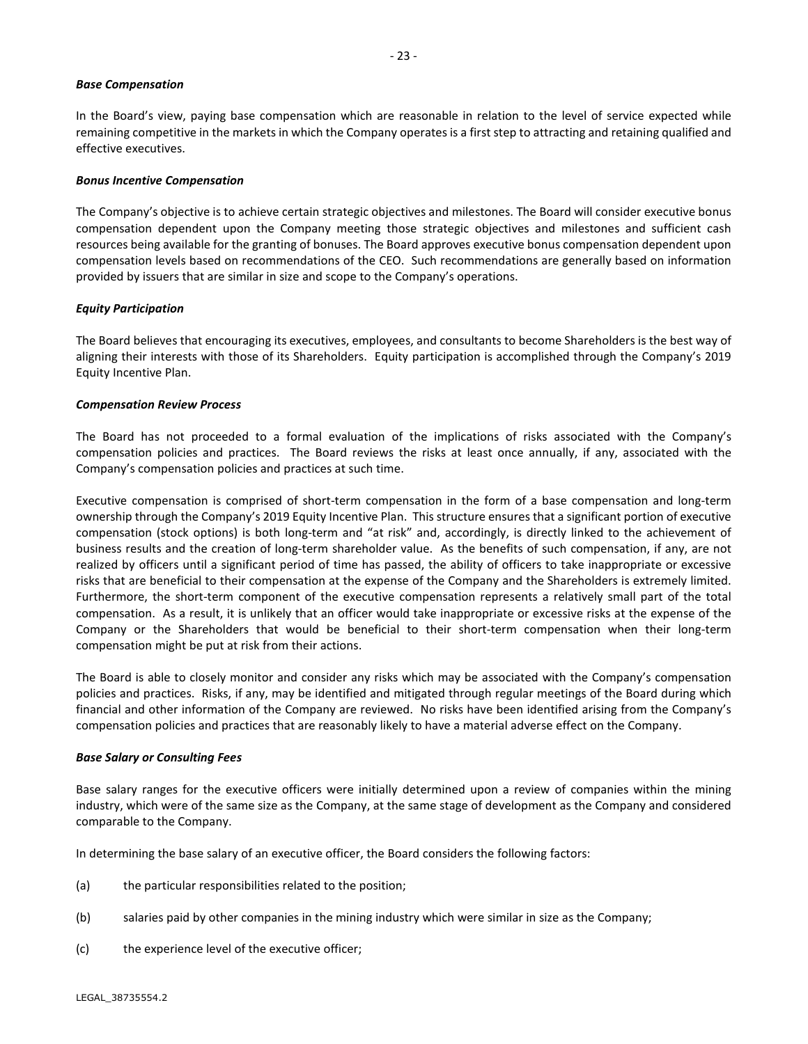### *Base Compensation*

In the Board's view, paying base compensation which are reasonable in relation to the level of service expected while remaining competitive in the markets in which the Company operates is a first step to attracting and retaining qualified and effective executives.

### *Bonus Incentive Compensation*

The Company's objective is to achieve certain strategic objectives and milestones. The Board will consider executive bonus compensation dependent upon the Company meeting those strategic objectives and milestones and sufficient cash resources being available for the granting of bonuses. The Board approves executive bonus compensation dependent upon compensation levels based on recommendations of the CEO. Such recommendations are generally based on information provided by issuers that are similar in size and scope to the Company's operations.

### *Equity Participation*

The Board believes that encouraging its executives, employees, and consultants to become Shareholders is the best way of aligning their interests with those of its Shareholders. Equity participation is accomplished through the Company's 2019 Equity Incentive Plan.

### *Compensation Review Process*

The Board has not proceeded to a formal evaluation of the implications of risks associated with the Company's compensation policies and practices. The Board reviews the risks at least once annually, if any, associated with the Company's compensation policies and practices at such time.

Executive compensation is comprised of short-term compensation in the form of a base compensation and long-term ownership through the Company's 2019 Equity Incentive Plan. This structure ensures that a significant portion of executive compensation (stock options) is both long-term and "at risk" and, accordingly, is directly linked to the achievement of business results and the creation of long-term shareholder value. As the benefits of such compensation, if any, are not realized by officers until a significant period of time has passed, the ability of officers to take inappropriate or excessive risks that are beneficial to their compensation at the expense of the Company and the Shareholders is extremely limited. Furthermore, the short-term component of the executive compensation represents a relatively small part of the total compensation. As a result, it is unlikely that an officer would take inappropriate or excessive risks at the expense of the Company or the Shareholders that would be beneficial to their short-term compensation when their long-term compensation might be put at risk from their actions.

The Board is able to closely monitor and consider any risks which may be associated with the Company's compensation policies and practices. Risks, if any, may be identified and mitigated through regular meetings of the Board during which financial and other information of the Company are reviewed. No risks have been identified arising from the Company's compensation policies and practices that are reasonably likely to have a material adverse effect on the Company.

#### *Base Salary or Consulting Fees*

Base salary ranges for the executive officers were initially determined upon a review of companies within the mining industry, which were of the same size as the Company, at the same stage of development as the Company and considered comparable to the Company.

In determining the base salary of an executive officer, the Board considers the following factors:

- (a) the particular responsibilities related to the position;
- (b) salaries paid by other companies in the mining industry which were similar in size as the Company;
- (c) the experience level of the executive officer;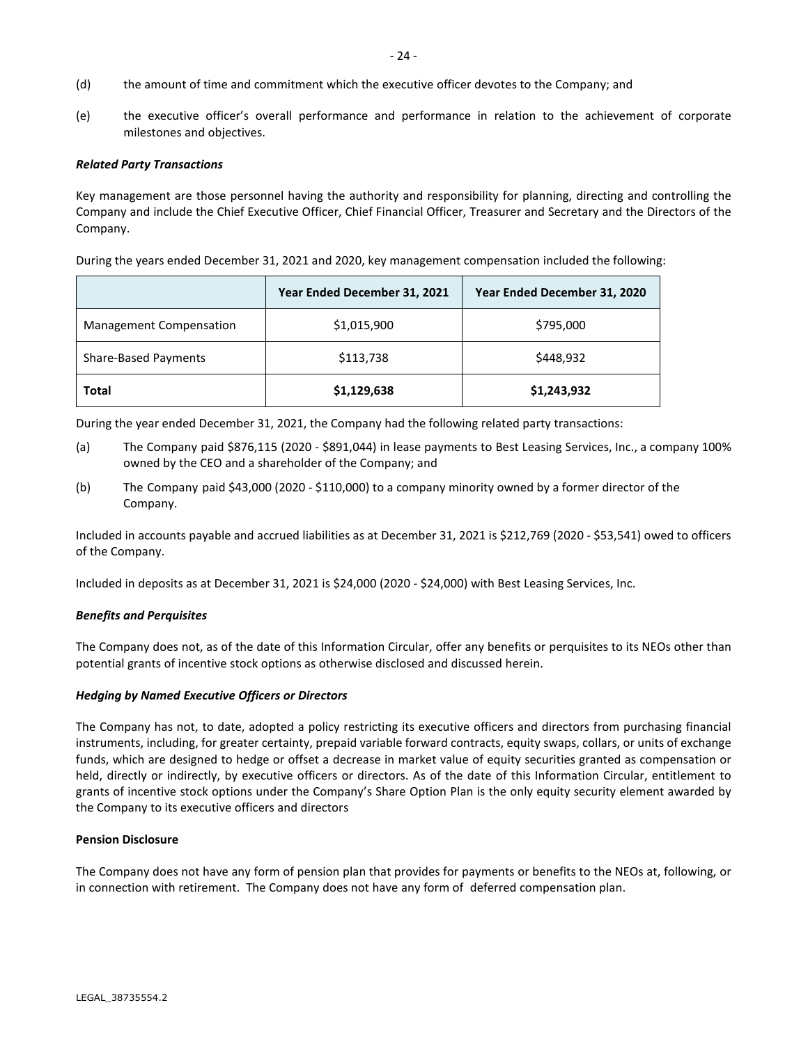- (d) the amount of time and commitment which the executive officer devotes to the Company; and
- (e) the executive officer's overall performance and performance in relation to the achievement of corporate milestones and objectives.

### *Related Party Transactions*

Key management are those personnel having the authority and responsibility for planning, directing and controlling the Company and include the Chief Executive Officer, Chief Financial Officer, Treasurer and Secretary and the Directors of the Company.

During the years ended December 31, 2021 and 2020, key management compensation included the following:

|                                | Year Ended December 31, 2021 | Year Ended December 31, 2020 |
|--------------------------------|------------------------------|------------------------------|
| <b>Management Compensation</b> | \$1,015,900                  | \$795,000                    |
| Share-Based Payments           | \$113,738                    | \$448,932                    |
| <b>Total</b>                   | \$1,129,638                  | \$1,243,932                  |

During the year ended December 31, 2021, the Company had the following related party transactions:

- (a) The Company paid \$876,115 (2020 \$891,044) in lease payments to Best Leasing Services, Inc., a company 100% owned by the CEO and a shareholder of the Company; and
- (b) The Company paid \$43,000 (2020 \$110,000) to a company minority owned by a former director of the Company.

Included in accounts payable and accrued liabilities as at December 31, 2021 is \$212,769 (2020 - \$53,541) owed to officers of the Company.

Included in deposits as at December 31, 2021 is \$24,000 (2020 - \$24,000) with Best Leasing Services, Inc.

# *Benefits and Perquisites*

The Company does not, as of the date of this Information Circular, offer any benefits or perquisites to its NEOs other than potential grants of incentive stock options as otherwise disclosed and discussed herein.

# *Hedging by Named Executive Officers or Directors*

The Company has not, to date, adopted a policy restricting its executive officers and directors from purchasing financial instruments, including, for greater certainty, prepaid variable forward contracts, equity swaps, collars, or units of exchange funds, which are designed to hedge or offset a decrease in market value of equity securities granted as compensation or held, directly or indirectly, by executive officers or directors. As of the date of this Information Circular, entitlement to grants of incentive stock options under the Company's Share Option Plan is the only equity security element awarded by the Company to its executive officers and directors

#### **Pension Disclosure**

The Company does not have any form of pension plan that provides for payments or benefits to the NEOs at, following, or in connection with retirement. The Company does not have any form of deferred compensation plan.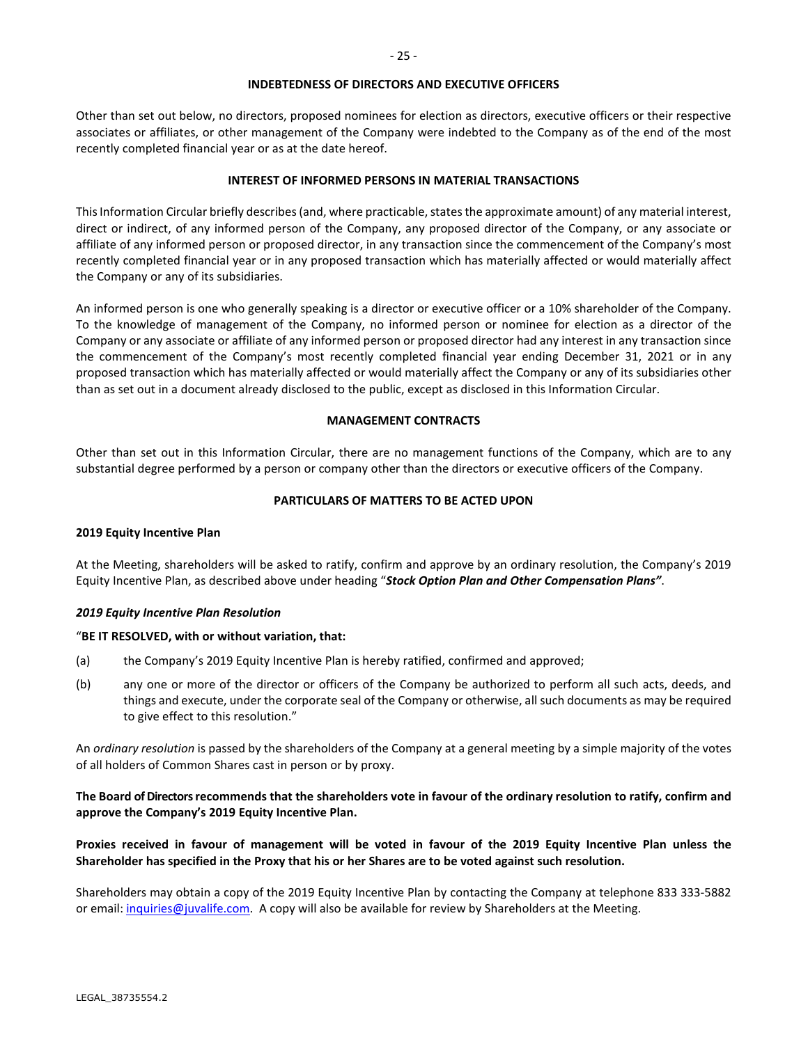#### **INDEBTEDNESS OF DIRECTORS AND EXECUTIVE OFFICERS**

Other than set out below, no directors, proposed nominees for election as directors, executive officers or their respective associates or affiliates, or other management of the Company were indebted to the Company as of the end of the most recently completed financial year or as at the date hereof.

### **INTEREST OF INFORMED PERSONS IN MATERIAL TRANSACTIONS**

This Information Circular briefly describes (and, where practicable, states the approximate amount) of any material interest, direct or indirect, of any informed person of the Company, any proposed director of the Company, or any associate or affiliate of any informed person or proposed director, in any transaction since the commencement of the Company's most recently completed financial year or in any proposed transaction which has materially affected or would materially affect the Company or any of its subsidiaries.

An informed person is one who generally speaking is a director or executive officer or a 10% shareholder of the Company. To the knowledge of management of the Company, no informed person or nominee for election as a director of the Company or any associate or affiliate of any informed person or proposed director had any interest in any transaction since the commencement of the Company's most recently completed financial year ending December 31, 2021 or in any proposed transaction which has materially affected or would materially affect the Company or any of its subsidiaries other than as set out in a document already disclosed to the public, except as disclosed in this Information Circular.

### **MANAGEMENT CONTRACTS**

Other than set out in this Information Circular, there are no management functions of the Company, which are to any substantial degree performed by a person or company other than the directors or executive officers of the Company.

### **PARTICULARS OF MATTERS TO BE ACTED UPON**

#### **2019 Equity Incentive Plan**

At the Meeting, shareholders will be asked to ratify, confirm and approve by an ordinary resolution, the Company's 2019 Equity Incentive Plan, as described above under heading "*Stock Option Plan and Other Compensation Plans"*.

#### *2019 Equity Incentive Plan Resolution*

#### "**BE IT RESOLVED, with or without variation, that:**

- (a) the Company's 2019 Equity Incentive Plan is hereby ratified, confirmed and approved;
- (b) any one or more of the director or officers of the Company be authorized to perform all such acts, deeds, and things and execute, under the corporate seal of the Company or otherwise, all such documents as may be required to give effect to this resolution."

An *ordinary resolution* is passed by the shareholders of the Company at a general meeting by a simple majority of the votes of all holders of Common Shares cast in person or by proxy.

# **The Board of Directors recommends that the shareholders vote in favour of the ordinary resolution to ratify, confirm and approve the Company's 2019 Equity Incentive Plan.**

**Proxies received in favour of management will be voted in favour of the 2019 Equity Incentive Plan unless the Shareholder has specified in the Proxy that his or her Shares are to be voted against such resolution.**

Shareholders may obtain a copy of the 2019 Equity Incentive Plan by contacting the Company at telephone 833 333-5882 or email: inquiries@juvalife.com. A copy will also be available for review by Shareholders at the Meeting.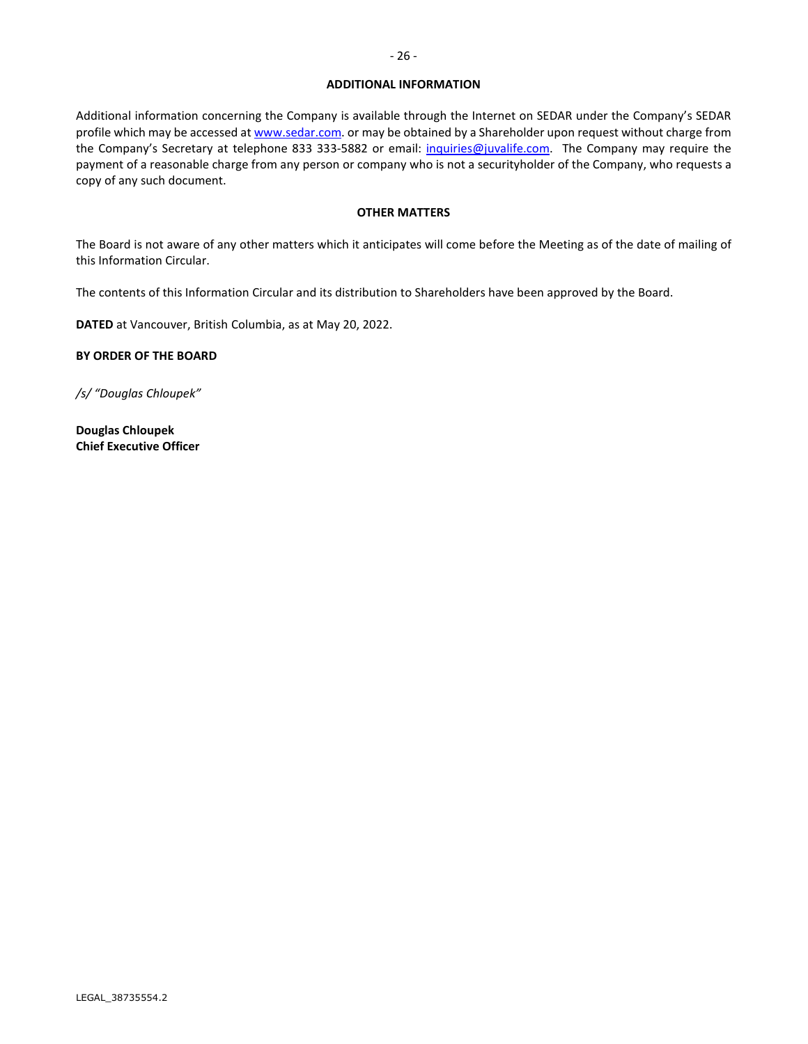### **ADDITIONAL INFORMATION**

Additional information concerning the Company is available through the Internet on SEDAR under the Company's SEDAR profile which may be accessed a[t www.sedar.com.](http://www.sedar.com/) or may be obtained by a Shareholder upon request without charge from the Company's Secretary at telephone 833 333-5882 or email: inquiries@juvalife.com. The Company may require the payment of a reasonable charge from any person or company who is not a securityholder of the Company, who requests a copy of any such document.

### **OTHER MATTERS**

The Board is not aware of any other matters which it anticipates will come before the Meeting as of the date of mailing of this Information Circular.

The contents of this Information Circular and its distribution to Shareholders have been approved by the Board.

**DATED** at Vancouver, British Columbia, as at May 20, 2022.

**BY ORDER OF THE BOARD**

*/s/ "Douglas Chloupek"*

**Douglas Chloupek Chief Executive Officer**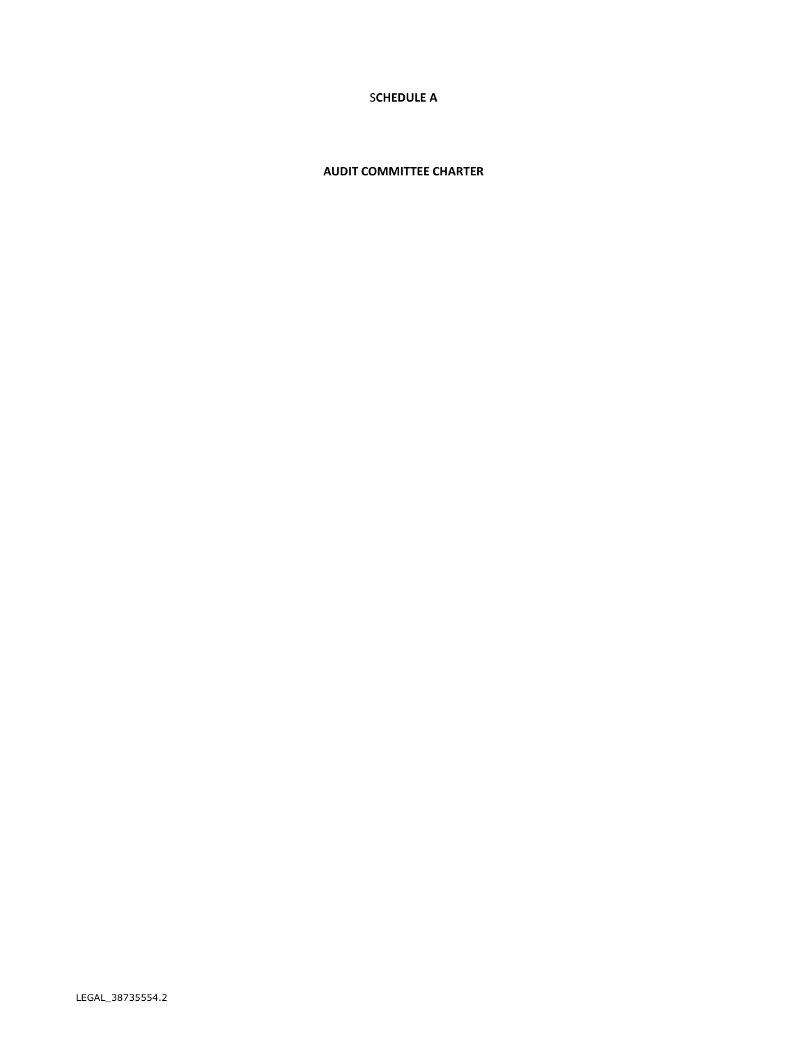# S**CHEDULE A**

# **AUDIT COMMITTEE CHARTER**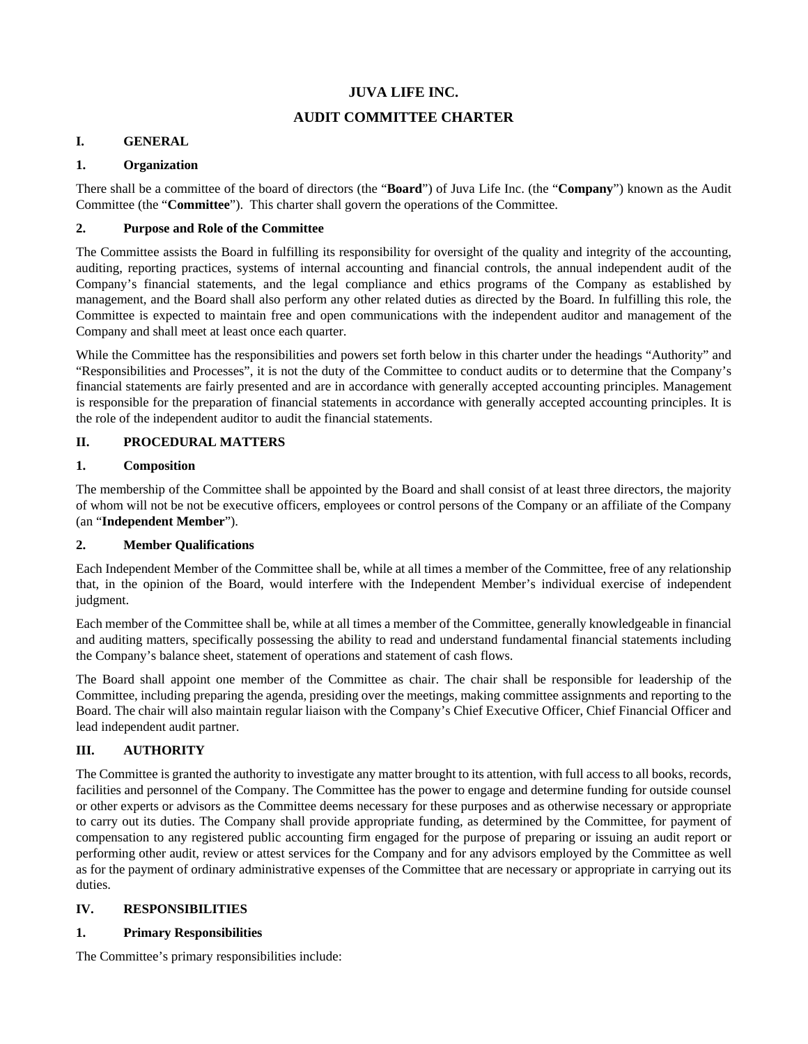# **JUVA LIFE INC.**

# **AUDIT COMMITTEE CHARTER**

# **I. GENERAL**

# **1. Organization**

There shall be a committee of the board of directors (the "**Board**") of Juva Life Inc. (the "**Company**") known as the Audit Committee (the "**Committee**"). This charter shall govern the operations of the Committee.

# **2. Purpose and Role of the Committee**

The Committee assists the Board in fulfilling its responsibility for oversight of the quality and integrity of the accounting, auditing, reporting practices, systems of internal accounting and financial controls, the annual independent audit of the Company's financial statements, and the legal compliance and ethics programs of the Company as established by management, and the Board shall also perform any other related duties as directed by the Board. In fulfilling this role, the Committee is expected to maintain free and open communications with the independent auditor and management of the Company and shall meet at least once each quarter.

While the Committee has the responsibilities and powers set forth below in this charter under the headings "Authority" and "Responsibilities and Processes", it is not the duty of the Committee to conduct audits or to determine that the Company's financial statements are fairly presented and are in accordance with generally accepted accounting principles. Management is responsible for the preparation of financial statements in accordance with generally accepted accounting principles. It is the role of the independent auditor to audit the financial statements.

# **II. PROCEDURAL MATTERS**

# **1. Composition**

The membership of the Committee shall be appointed by the Board and shall consist of at least three directors, the majority of whom will not be not be executive officers, employees or control persons of the Company or an affiliate of the Company (an "**Independent Member**").

# **2. Member Qualifications**

Each Independent Member of the Committee shall be, while at all times a member of the Committee, free of any relationship that, in the opinion of the Board, would interfere with the Independent Member's individual exercise of independent judgment.

Each member of the Committee shall be, while at all times a member of the Committee, generally knowledgeable in financial and auditing matters, specifically possessing the ability to read and understand fundamental financial statements including the Company's balance sheet, statement of operations and statement of cash flows.

The Board shall appoint one member of the Committee as chair. The chair shall be responsible for leadership of the Committee, including preparing the agenda, presiding over the meetings, making committee assignments and reporting to the Board. The chair will also maintain regular liaison with the Company's Chief Executive Officer, Chief Financial Officer and lead independent audit partner.

# **III. AUTHORITY**

The Committee is granted the authority to investigate any matter brought to its attention, with full access to all books, records, facilities and personnel of the Company. The Committee has the power to engage and determine funding for outside counsel or other experts or advisors as the Committee deems necessary for these purposes and as otherwise necessary or appropriate to carry out its duties. The Company shall provide appropriate funding, as determined by the Committee, for payment of compensation to any registered public accounting firm engaged for the purpose of preparing or issuing an audit report or performing other audit, review or attest services for the Company and for any advisors employed by the Committee as well as for the payment of ordinary administrative expenses of the Committee that are necessary or appropriate in carrying out its duties.

# **IV. RESPONSIBILITIES**

# **1. Primary Responsibilities**

The Committee's primary responsibilities include: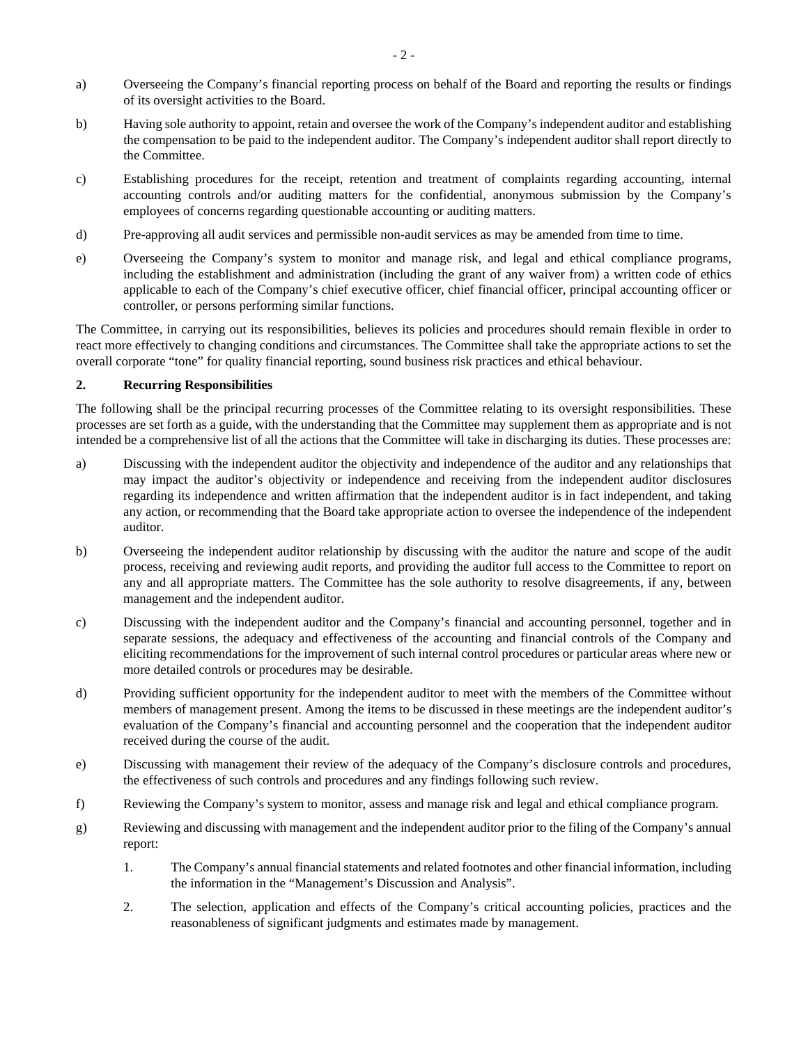- a) Overseeing the Company's financial reporting process on behalf of the Board and reporting the results or findings of its oversight activities to the Board.
- b) Having sole authority to appoint, retain and oversee the work of the Company's independent auditor and establishing the compensation to be paid to the independent auditor. The Company's independent auditor shall report directly to the Committee.
- c) Establishing procedures for the receipt, retention and treatment of complaints regarding accounting, internal accounting controls and/or auditing matters for the confidential, anonymous submission by the Company's employees of concerns regarding questionable accounting or auditing matters.
- d) Pre-approving all audit services and permissible non-audit services as may be amended from time to time.
- e) Overseeing the Company's system to monitor and manage risk, and legal and ethical compliance programs, including the establishment and administration (including the grant of any waiver from) a written code of ethics applicable to each of the Company's chief executive officer, chief financial officer, principal accounting officer or controller, or persons performing similar functions.

The Committee, in carrying out its responsibilities, believes its policies and procedures should remain flexible in order to react more effectively to changing conditions and circumstances. The Committee shall take the appropriate actions to set the overall corporate "tone" for quality financial reporting, sound business risk practices and ethical behaviour.

# **2. Recurring Responsibilities**

The following shall be the principal recurring processes of the Committee relating to its oversight responsibilities. These processes are set forth as a guide, with the understanding that the Committee may supplement them as appropriate and is not intended be a comprehensive list of all the actions that the Committee will take in discharging its duties. These processes are:

- a) Discussing with the independent auditor the objectivity and independence of the auditor and any relationships that may impact the auditor's objectivity or independence and receiving from the independent auditor disclosures regarding its independence and written affirmation that the independent auditor is in fact independent, and taking any action, or recommending that the Board take appropriate action to oversee the independence of the independent auditor.
- b) Overseeing the independent auditor relationship by discussing with the auditor the nature and scope of the audit process, receiving and reviewing audit reports, and providing the auditor full access to the Committee to report on any and all appropriate matters. The Committee has the sole authority to resolve disagreements, if any, between management and the independent auditor.
- c) Discussing with the independent auditor and the Company's financial and accounting personnel, together and in separate sessions, the adequacy and effectiveness of the accounting and financial controls of the Company and eliciting recommendations for the improvement of such internal control procedures or particular areas where new or more detailed controls or procedures may be desirable.
- d) Providing sufficient opportunity for the independent auditor to meet with the members of the Committee without members of management present. Among the items to be discussed in these meetings are the independent auditor's evaluation of the Company's financial and accounting personnel and the cooperation that the independent auditor received during the course of the audit.
- e) Discussing with management their review of the adequacy of the Company's disclosure controls and procedures, the effectiveness of such controls and procedures and any findings following such review.
- f) Reviewing the Company's system to monitor, assess and manage risk and legal and ethical compliance program.
- g) Reviewing and discussing with management and the independent auditor prior to the filing of the Company's annual report:
	- 1. The Company's annual financial statements and related footnotes and other financial information, including the information in the "Management's Discussion and Analysis".
	- 2. The selection, application and effects of the Company's critical accounting policies, practices and the reasonableness of significant judgments and estimates made by management.